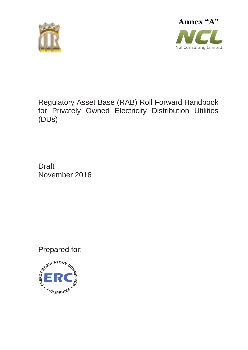



# Regulatory Asset Base (RAB) Roll Forward Handbook for Privately Owned Electricity Distribution Utilities (DUs)

**Draft** November 2016

Prepared for:

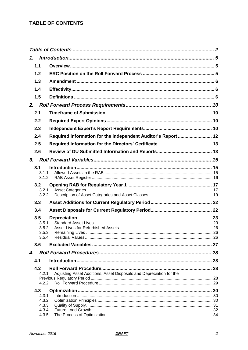<span id="page-1-0"></span>

| 1.             |                                                                     |  |
|----------------|---------------------------------------------------------------------|--|
| 1.1            |                                                                     |  |
| 1.2            |                                                                     |  |
| 1.3            |                                                                     |  |
| 1.4            |                                                                     |  |
| 1.5            |                                                                     |  |
| 2.             |                                                                     |  |
| 2.1            |                                                                     |  |
| 2.2            |                                                                     |  |
| 2.3            |                                                                     |  |
| 2.4            | Required Information for the Independent Auditor's Report  12       |  |
| 2.5            |                                                                     |  |
| 2.6            |                                                                     |  |
| 3.             |                                                                     |  |
| 3.1            |                                                                     |  |
| 3.1.1          |                                                                     |  |
| 3.1.2          |                                                                     |  |
| 3.2<br>3.2.1   |                                                                     |  |
| 3.2.2          |                                                                     |  |
| 3.3            |                                                                     |  |
| 3.4            |                                                                     |  |
| 3.5            |                                                                     |  |
| 3.5.1<br>3.5.2 |                                                                     |  |
| 3.5.3          |                                                                     |  |
| 3.5.4          |                                                                     |  |
| 3.6            |                                                                     |  |
| 4.             |                                                                     |  |
| 4.1            |                                                                     |  |
| 4.2<br>4.2.1   | Adjusting Asset Additions, Asset Disposals and Depreciation for the |  |
|                |                                                                     |  |
| 4.2.2          |                                                                     |  |
| 4.3            |                                                                     |  |
| 4.3.1<br>4.3.2 |                                                                     |  |
| 4.3.3          |                                                                     |  |
| 4.3.4          |                                                                     |  |
| 4.3.5          |                                                                     |  |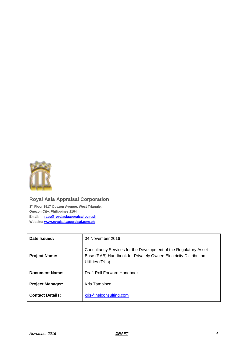

## **Royal Asia Appraisal Corporation**

**3 rd Floor 1517 Quezon Avenue, West Triangle, Quezon City, Philippines 1104 Email: [raac@royalasiaappraisal.com.ph](mailto:raac@royalasiaappraisal.com.ph)  Website: [www.royalasiaappraisal.com.ph](http://www.nelconsulting.com/)**

| Date Issued:            | 04 November 2016                                                                                                                                        |
|-------------------------|---------------------------------------------------------------------------------------------------------------------------------------------------------|
| <b>Project Name:</b>    | Consultancy Services for the Development of the Regulatory Asset<br>Base (RAB) Handbook for Privately Owned Electricity Distribution<br>Utilities (DUs) |
| Document Name:          | Draft Roll Forward Handbook                                                                                                                             |
| <b>Project Manager:</b> | Kris Tampinco                                                                                                                                           |
| <b>Contact Details:</b> | kris@nelconsulting.com                                                                                                                                  |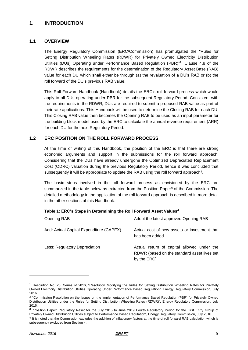### <span id="page-4-1"></span><span id="page-4-0"></span>**1.1 OVERVIEW**

The Energy Regulatory Commission (ERC/Commission) has promulgated the "Rules for Setting Distribution Wheeling Rates (RDWR) for Privately Owned Electricity Distribution Utilities (DUs) Operating under Performance Based Regulation (PBR)" 1 . Clause 4.8 of the RDWR describes the requirements for the determination of the Regulatory Asset Base (RAB) value for each DU which shall either be through (a) the revaluation of a DU's RAB or (b) the roll forward of the DU's previous RAB value.

This Roll Forward Handbook (Handbook) details the ERC's roll forward process which would apply to all DUs operating under PBR for the subsequent Regulatory Period. Consistent with the requirements in the RDWR, DUs are required to submit a proposed RAB value as part of their rate applications. This Handbook will be used to determine the Closing RAB for each DU. This Closing RAB value then becomes the Opening RAB to be used as an input parameter for the building block model used by the ERC to calculate the annual revenue requirement (ARR) for each DU for the next Regulatory Period.

### <span id="page-4-2"></span>**1.2 ERC POSITION ON THE ROLL FORWARD PROCESS**

At the time of writing of this Handbook, the position of the ERC is that there are strong economic arguments and support in the submissions for the roll forward approach. Considering that the DUs have already undergone the Optimized Depreciated Replacement Cost (ODRC) valuation during the previous Regulatory Period, hence it was concluded that subsequently it will be appropriate to update the RAB using the roll forward approach<sup>2</sup>.

The basic steps involved in the roll forward process as envisioned by the ERC are summarized in the table below as extracted from the Position Paper<sup>3</sup> of the Commission. The detailed methodology in the application of the roll forward approach is described in more detail in the other sections of this Handbook.

| <b>Opening RAB</b>                      | Adopt the latest approved Opening RAB                                                                    |
|-----------------------------------------|----------------------------------------------------------------------------------------------------------|
| Add: Actual Capital Expenditure (CAPEX) | Actual cost of new assets or investment that<br>has been added                                           |
| Less: Regulatory Depreciation           | Actual return of capital allowed under the<br>RDWR (based on the standard asset lives set<br>by the ERC) |

<sup>1</sup> Resolution No. 25, Series of 2016, "Resolution Modifying the Rules for Setting Distribution Wheeling Rates for Privately Owned Electricity Distribution Utilities Operating Under Performance Based Regulation", Energy Regulatory Commission, July 2016.

<sup>&</sup>lt;sup>2</sup> "Commission Resolution on the Issues on the Implementation of Performance Based Regulation (PBR) for Privately Owned Distribution Utilities under the Rules for Setting Distribution Wheeling Rates (RDWR)", Energy Regulatory Commission, July 2016.

<sup>&</sup>lt;sup>3</sup> "Position Paper: Regulatory Reset for the July 2015 to June 2019 Fourth Regulatory Period for the First Entry Group of Privately Owned Distribution Utilities subject to Performance Based Regulation", Energy Regulatory Commission, July 2016.

<sup>&</sup>lt;sup>4</sup> It is noted that the Commission excludes the addition of inflationary factors at the time of roll forward RAB calculation which is subsequently excluded from Section 4.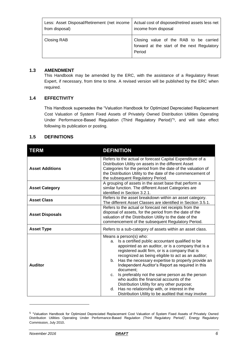| Less: Asset Disposal/Retirement (net income | Actual cost of disposed/retired assets less net                                                 |
|---------------------------------------------|-------------------------------------------------------------------------------------------------|
| from disposal)                              | income from disposal                                                                            |
| Closing RAB                                 | Closing value of the RAB to be carried<br>forward at the start of the next Regulatory<br>Period |

### <span id="page-5-0"></span>**1.3 AMENDMENT**

This Handbook may be amended by the ERC, with the assistance of a Regulatory Reset Expert, if necessary, from time to time. A revised version will be published by the ERC when required.

### <span id="page-5-1"></span>**1.4 EFFECTIVITY**

This Handbook supersedes the "Valuation Handbook for Optimized Depreciated Replacement Cost Valuation of System Fixed Assets of Privately Owned Distribution Utilities Operating Under Performance-Based Regulation (Third Regulatory Period)"<sup>5</sup> , and will take effect following its publication or posting.

### <span id="page-5-2"></span>**1.5 DEFINITIONS**

| <b>TERM</b>            | <b>DEFINITION</b>                                                                                                                                                                                                                                                                                                                                                                                                                                                                                                                                                                                                                            |  |  |
|------------------------|----------------------------------------------------------------------------------------------------------------------------------------------------------------------------------------------------------------------------------------------------------------------------------------------------------------------------------------------------------------------------------------------------------------------------------------------------------------------------------------------------------------------------------------------------------------------------------------------------------------------------------------------|--|--|
| <b>Asset Additions</b> | Refers to the actual or forecast Capital Expenditure of a<br>Distribution Utility on assets in the different Asset<br>Categories for the period from the date of the valuation of<br>the Distribution Utility to the date of the commencement of<br>the subsequent Regulatory Period.                                                                                                                                                                                                                                                                                                                                                        |  |  |
| <b>Asset Category</b>  | A grouping of assets in the asset base that perform a<br>similar function. The different Asset Categories are<br>identified in Section 3.2.1.                                                                                                                                                                                                                                                                                                                                                                                                                                                                                                |  |  |
| <b>Asset Class</b>     | Refers to the asset breakdown within an asset category.<br>The different Asset Classes are identified in Section 3.5.1.                                                                                                                                                                                                                                                                                                                                                                                                                                                                                                                      |  |  |
| <b>Asset Disposals</b> | Refers to the actual or forecast net receipts from the<br>disposal of assets, for the period from the date of the<br>valuation of the Distribution Utility to the date of the<br>commencement of the subsequent Regulatory Period.                                                                                                                                                                                                                                                                                                                                                                                                           |  |  |
| <b>Asset Type</b>      | Refers to a sub-category of assets within an asset class.                                                                                                                                                                                                                                                                                                                                                                                                                                                                                                                                                                                    |  |  |
| <b>Auditor</b>         | Means a person(s) who:<br>Is a certified public accountant qualified to be<br>а.<br>appointed as an auditor, or is a company that is a<br>registered audit firm, or is a company that is<br>recognized as being eligible to act as an auditor;<br>Has the necessary expertise to properly provide an<br>b.<br>Independent Auditor's Report as required in this<br>document:<br>Is preferably not the same person as the person<br>C.<br>who audits the financial accounts of the<br>Distribution Utility for any other purpose;<br>Has no relationship with, or interest in the<br>d.<br>Distribution Utility to be audited that may involve |  |  |

<sup>5</sup> "Valuation Handbook for Optimized Depreciated Replacement Cost Valuation of System Fixed Assets of Privately Owned Distribution Utilities Operating Under Performance-Based Regulation (Third Regulatory Period)", Energy Regulatory Commission, July 2010.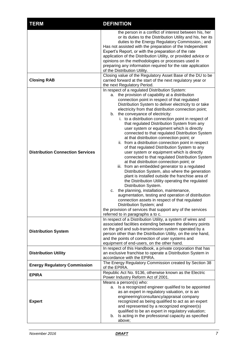| <b>TERM</b>                             | <b>DEFINITION</b>                                                                                                                                                                                                                                                                                                                                                                                                                                                                                                                                                                                                                                                                                                                                                                                                                                                                                                                                                                                                                                                                                                                                                                                                                                                                                                                                   |
|-----------------------------------------|-----------------------------------------------------------------------------------------------------------------------------------------------------------------------------------------------------------------------------------------------------------------------------------------------------------------------------------------------------------------------------------------------------------------------------------------------------------------------------------------------------------------------------------------------------------------------------------------------------------------------------------------------------------------------------------------------------------------------------------------------------------------------------------------------------------------------------------------------------------------------------------------------------------------------------------------------------------------------------------------------------------------------------------------------------------------------------------------------------------------------------------------------------------------------------------------------------------------------------------------------------------------------------------------------------------------------------------------------------|
|                                         | the person in a conflict of interest between his, her<br>or its duties to the Distribution Utility and his, her its<br>duties to the Energy Regulatory Commission.; and<br>Has not assisted with the preparation of the Independent<br>Expert's Report, or with the preparation of the rate<br>application of the Distribution Utility, or provided advice or<br>opinions on the methodologies or processes used in<br>preparing any information required for the rate application<br>of the Distribution Utility.                                                                                                                                                                                                                                                                                                                                                                                                                                                                                                                                                                                                                                                                                                                                                                                                                                  |
| <b>Closing RAB</b>                      | Closing value of the Regulatory Asset Base of the DU to be<br>carried forward at the start of the next regulatory year or<br>the next Regulatory Period.                                                                                                                                                                                                                                                                                                                                                                                                                                                                                                                                                                                                                                                                                                                                                                                                                                                                                                                                                                                                                                                                                                                                                                                            |
| <b>Distribution Connection Services</b> | In respect of a regulated Distribution System:<br>the provision of capability at a distribution<br>a.<br>connection point in respect of that regulated<br>Distribution System to deliver electricity to or take<br>electricity from that distribution connection point;<br>b. the conveyance of electricity:<br>i. to a distribution connection point in respect of<br>that regulated Distribution System from any<br>user system or equipment which is directly<br>connected to that regulated Distribution System<br>at that distribution connection point; or<br>ii. from a distribution connection point in respect<br>of that regulated Distribution System to any<br>user system or equipment which is directly<br>connected to that regulated Distribution System<br>at that distribution connection point; or<br>iii. from an embedded generator to a regulated<br>Distribution System, also where the generation<br>plant is installed outside the franchise area of<br>the Distribution Utility operating the regulated<br>Distribution System.<br>the planning, installation, maintenance,<br>c.<br>augmentation, testing and operation of distribution<br>connection assets in respect of that regulated<br>Distribution System; and<br>the provision of services that support any of the services<br>referred to in paragraphs a to c. |
| <b>Distribution System</b>              | In respect of a Distribution Utility, a system of wires and<br>associated facilities extending between the delivery points<br>on the grid and sub-transmission system operated by a<br>person other than the Distribution Utility, on the one hand,<br>and the points of connection of user systems and<br>equipment of end-users, on the other hand.                                                                                                                                                                                                                                                                                                                                                                                                                                                                                                                                                                                                                                                                                                                                                                                                                                                                                                                                                                                               |
| <b>Distribution Utility</b>             | In respect of this Handbook, a private corporation that has<br>an exclusive franchise to operate a Distribution System in<br>accordance with the EPIRA.                                                                                                                                                                                                                                                                                                                                                                                                                                                                                                                                                                                                                                                                                                                                                                                                                                                                                                                                                                                                                                                                                                                                                                                             |
| <b>Energy Regulatory Commission</b>     | The Energy Regulatory Commission created by Section 38<br>of the EPIRA.                                                                                                                                                                                                                                                                                                                                                                                                                                                                                                                                                                                                                                                                                                                                                                                                                                                                                                                                                                                                                                                                                                                                                                                                                                                                             |
| <b>EPIRA</b>                            | Republic Act No. 9136, otherwise known as the Electric<br>Power Industry Reform Act of 2001.                                                                                                                                                                                                                                                                                                                                                                                                                                                                                                                                                                                                                                                                                                                                                                                                                                                                                                                                                                                                                                                                                                                                                                                                                                                        |
| <b>Expert</b>                           | Means a person(s) who:<br>a. Is a recognized engineer qualified to be appointed<br>as an expert in regulatory valuation, or is an<br>engineering/consultancy/appraisal company<br>recognized as being qualified to act as an expert<br>and represented by a recognized engineer(s)<br>qualified to be an expert in regulatory valuation;<br>Is acting in the professional capacity as specified<br>b.<br>above;                                                                                                                                                                                                                                                                                                                                                                                                                                                                                                                                                                                                                                                                                                                                                                                                                                                                                                                                     |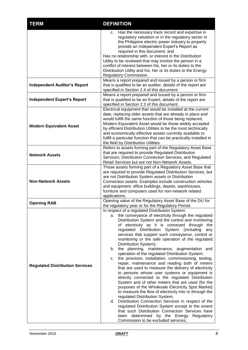| <b>TERM</b>                            | <b>DEFINITION</b>                                                                                                                                                                                                                                                                                                                                                                                                                                                                                                                                                                                                                                                                                                                                                                                                                                                                                                                                                                                                                                                                                                                                                                                                                                        |  |  |
|----------------------------------------|----------------------------------------------------------------------------------------------------------------------------------------------------------------------------------------------------------------------------------------------------------------------------------------------------------------------------------------------------------------------------------------------------------------------------------------------------------------------------------------------------------------------------------------------------------------------------------------------------------------------------------------------------------------------------------------------------------------------------------------------------------------------------------------------------------------------------------------------------------------------------------------------------------------------------------------------------------------------------------------------------------------------------------------------------------------------------------------------------------------------------------------------------------------------------------------------------------------------------------------------------------|--|--|
|                                        | Has the necessary track record and expertise in<br>c.<br>regulatory valuation or in the regulatory sector in<br>the Philippine electric power industry to properly<br>provide an Independent Expert's Report as<br>required in this document; and<br>Has no relationship with, or interest in the Distribution<br>Utility to be reviewed that may involve the person in a<br>conflict of interest between his, her or its duties to the<br>Distribution Utility and his, her or its duties to the Energy<br>Regulatory Commission.                                                                                                                                                                                                                                                                                                                                                                                                                                                                                                                                                                                                                                                                                                                       |  |  |
| <b>Independent Auditor's Report</b>    | Means a report prepared and issued by a person or firm<br>that is qualified to be an auditor, details of the report are<br>specified in Section 2.4 of this document.                                                                                                                                                                                                                                                                                                                                                                                                                                                                                                                                                                                                                                                                                                                                                                                                                                                                                                                                                                                                                                                                                    |  |  |
| <b>Independent Expert's Report</b>     | Means a report prepared and issued by a person or firm<br>that is qualified to be an Expert, details of the report are<br>specified in Section 2.3 of this document.                                                                                                                                                                                                                                                                                                                                                                                                                                                                                                                                                                                                                                                                                                                                                                                                                                                                                                                                                                                                                                                                                     |  |  |
| <b>Modern Equivalent Asset</b>         | Electrical equipment that would be installed at the current<br>date, replacing older assets that are already in place and<br>would fulfill the same function of those being replaced.<br>Modern Equivalent Asset would be those widely accepted<br>by efficient Distribution Utilities to be the most technically<br>and economically effective assets currently available to<br>fulfill a particular function that can be practically installed in<br>the field by Distribution Utilities.                                                                                                                                                                                                                                                                                                                                                                                                                                                                                                                                                                                                                                                                                                                                                              |  |  |
| <b>Network Assets</b>                  | Refers to assets forming part of the Regulatory Asset Base<br>that are required to provide Regulated Distribution<br>Services; Distribution Connection Services; and Regulated<br>Retail Services but are not Non-Network Assets.                                                                                                                                                                                                                                                                                                                                                                                                                                                                                                                                                                                                                                                                                                                                                                                                                                                                                                                                                                                                                        |  |  |
| <b>Non-Network Assets</b>              | Those assets forming part of a Regulatory Asset Base that<br>are required to provide Regulated Distribution Services, but<br>are not Distribution System assets or Distribution<br>Connection assets. Examples include construction vehicles<br>and equipment, office buildings, depots, warehouses,<br>furniture and computers used for non-network related<br>applications.                                                                                                                                                                                                                                                                                                                                                                                                                                                                                                                                                                                                                                                                                                                                                                                                                                                                            |  |  |
| <b>Opening RAB</b>                     | Opening value of the Regulatory Asset Base of the DU for<br>the regulatory year or for the Regulatory Period.                                                                                                                                                                                                                                                                                                                                                                                                                                                                                                                                                                                                                                                                                                                                                                                                                                                                                                                                                                                                                                                                                                                                            |  |  |
| <b>Regulated Distribution Services</b> | In respect of a regulated Distribution System:<br>a. the conveyance of electricity through the regulated<br>Distribution System and the control and monitoring<br>of electricity as it is conveyed through the<br>regulated Distribution System (including<br>any<br>services that support such conveyance, control or<br>monitoring or the safe operation of the regulated<br>Distribution System);<br>the planning, maintenance, augmentation and<br>b.<br>operation of the regulated Distribution System;<br>the provision, installation, commissioning, testing,<br>c.<br>repair, maintenance and reading both of meters<br>that are used to measure the delivery of electricity<br>to persons whose user systems or equipment is<br>directly connected to the regulated Distribution<br>System and of other meters that are used (for the<br>purposes of the Wholesale Electricity Spot Market)<br>to measure the flow of electricity into or through the<br>regulated Distribution System;<br>d. Distribution Connection Services in respect of the<br>regulated Distribution System except to the extent<br>that such Distribution Connection Services have<br>determined by the Energy Regulatory<br>been<br>Commission to be excluded services; |  |  |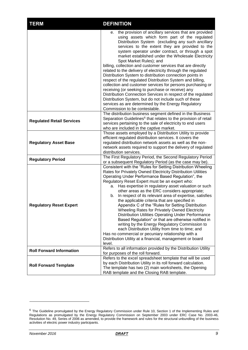| <b>TERM</b>                      | <b>DEFINITION</b>                                                                                                                                                                                                                                                                                                                                                                                                                                                                                                                                                                                                                                                                                                                                                                                                                                                                                                                                   |  |  |
|----------------------------------|-----------------------------------------------------------------------------------------------------------------------------------------------------------------------------------------------------------------------------------------------------------------------------------------------------------------------------------------------------------------------------------------------------------------------------------------------------------------------------------------------------------------------------------------------------------------------------------------------------------------------------------------------------------------------------------------------------------------------------------------------------------------------------------------------------------------------------------------------------------------------------------------------------------------------------------------------------|--|--|
|                                  | e. the provision of ancillary services that are provided<br>using assets which form part of the regulated<br>Distribution System (excluding any such ancillary<br>services to the extent they are provided to the<br>system operator under contract, or through a spot<br>market established under the Wholesale Electricity<br>Spot Market Rules); and<br>billing, collection and customer services that are directly<br>related to the delivery of electricity through the regulated<br>Distribution System to distribution connection points in<br>respect of the regulated Distribution System and billing,<br>collection and customer services for persons purchasing or<br>receiving (or seeking to purchase or receive) any<br>Distribution Connection Services in respect of the regulated<br>Distribution System, but do not include such of these<br>services as are determined by the Energy Regulatory<br>Commission to be contestable. |  |  |
| <b>Regulated Retail Services</b> | The distribution business segment defined in the Business<br>Separation Guidelines <sup>6</sup> that relates to the provision of retail<br>services pertaining to the sale of electricity to end users<br>who are included in the captive market.                                                                                                                                                                                                                                                                                                                                                                                                                                                                                                                                                                                                                                                                                                   |  |  |
| <b>Regulatory Asset Base</b>     | Those assets employed by a Distribution Utility to provide<br>efficient regulated distribution services. It covers the<br>regulated distribution network assets as well as the non-<br>network assets required to support the delivery of regulated<br>distribution services.                                                                                                                                                                                                                                                                                                                                                                                                                                                                                                                                                                                                                                                                       |  |  |
| <b>Regulatory Period</b>         | The First Regulatory Period, the Second Regulatory Period<br>or a subsequent Regulatory Period (as the case may be).                                                                                                                                                                                                                                                                                                                                                                                                                                                                                                                                                                                                                                                                                                                                                                                                                                |  |  |
| <b>Regulatory Reset Expert</b>   | Consistent with the "Rules for Setting Distribution Wheeling<br>Rates for Privately Owned Electricity Distribution Utilities<br>Operating Under Performance Based Regulation", the<br>Regulatory Reset Expert must be an expert who:<br>a. Has expertise in regulatory asset valuation or such<br>other areas as the ERC considers appropriate;<br>In respect of its relevant area of expertise, satisfies<br>b.<br>the applicable criteria that are specified in<br>Appendix C of the "Rules for Setting Distribution"<br>Wheeling Rates for Privately Owned Electricity<br>Distribution Utilities Operating Under Performance<br>Based Regulation" or that are otherwise notified in<br>writing by the Energy Regulatory Commission to<br>each Distribution Utility from time to time; and<br>Has no commercial or pecuniary relationship with a<br>Distribution Utility at a financial, management or board<br>level.                            |  |  |
| <b>Roll Forward Information</b>  | Refers to all information provided by the Distribution Utility<br>for purposes of the roll forward.                                                                                                                                                                                                                                                                                                                                                                                                                                                                                                                                                                                                                                                                                                                                                                                                                                                 |  |  |
| <b>Roll Forward Template</b>     | Refers to the excel spreadsheet template that will be used<br>by each Distribution Utility in its roll forward calculation.<br>The template has two (2) main worksheets, the Opening<br>RAB template and the Closing RAB template.                                                                                                                                                                                                                                                                                                                                                                                                                                                                                                                                                                                                                                                                                                                  |  |  |

 $^6$  The Guideline promulgated by the Energy Regulatory Commission under Rule 10, Section 1 of the Implementing Rules and Regulations as promulgated by the Energy Regulatory Commission on September 2003 under ERC Case No. 2003-46, Resolution No. 49, Series of 2006 as amended, to provide the framework and rules for the structural unbundling of the business activities of electric power industry participants.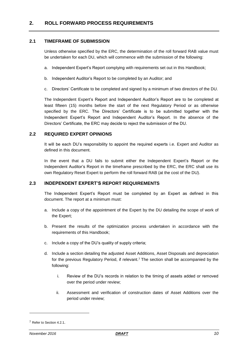### <span id="page-9-1"></span><span id="page-9-0"></span>**2.1 TIMEFRAME OF SUBMISSION**

Unless otherwise specified by the ERC, the determination of the roll forward RAB value must be undertaken for each DU, which will commence with the submission of the following:

- a. Independent Expert's Report complying with requirements set out in this Handbook;
- b. Independent Auditor's Report to be completed by an Auditor; and
- c. Directors' Certificate to be completed and signed by a minimum of two directors of the DU.

The Independent Expert's Report and Independent Auditor's Report are to be completed at least fifteen (15) months before the start of the next Regulatory Period or as otherwise specified by the ERC. The Directors' Certificate is to be submitted together with the Independent Expert's Report and Independent Auditor's Report. In the absence of the Directors' Certificate, the ERC may decide to reject the submission of the DU.

### <span id="page-9-2"></span>**2.2 REQUIRED EXPERT OPINIONS**

It will be each DU's responsibility to appoint the required experts i.e. Expert and Auditor as defined in this document.

In the event that a DU fails to submit either the Independent Expert's Report or the Independent Auditor's Report in the timeframe prescribed by the ERC, the ERC shall use its own Regulatory Reset Expert to perform the roll forward RAB (at the cost of the DU).

### <span id="page-9-3"></span>**2.3 INDEPENDENT EXPERT'S REPORT REQUIREMENTS**

The Independent Expert's Report must be completed by an Expert as defined in this document. The report at a minimum must:

- a. Include a copy of the appointment of the Expert by the DU detailing the scope of work of the Expert;
- b. Present the results of the optimization process undertaken in accordance with the requirements of this Handbook;
- c. Include a copy of the DU's quality of supply criteria;
- d. Include a section detailing the adjusted Asset Additions, Asset Disposals and depreciation for the previous Regulatory Period, if relevant.<sup>7</sup> The section shall be accompanied by the following:
	- i. Review of the DU's records in relation to the timing of assets added or removed over the period under review;
	- ii. Assessment and verification of construction dates of Asset Additions over the period under review;

<sup>7</sup> Refer to Section 4.2.1.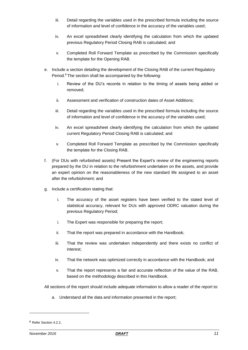- iii. Detail regarding the variables used in the prescribed formula including the source of information and level of confidence in the accuracy of the variables used;
- iv. An excel spreadsheet clearly identifying the calculation from which the updated previous Regulatory Period Closing RAB is calculated; and
- v. Completed Roll Forward Template as prescribed by the Commission specifically the template for the Opening RAB.
- e. Include a section detailing the development of the Closing RAB of the current Regulatory Period. <sup>8</sup> The section shall be accompanied by the following:
	- i. Review of the DU's records in relation to the timing of assets being added or removed;
	- ii. Assessment and verification of construction dates of Asset Additions;
	- iii. Detail regarding the variables used in the prescribed formula including the source of information and level of confidence in the accuracy of the variables used;
	- iv. An excel spreadsheet clearly identifying the calculation from which the updated current Regulatory Period Closing RAB is calculated; and
	- v. Completed Roll Forward Template as prescribed by the Commission specifically the template for the Closing RAB.
- f. (For DUs with refurbished assets) Present the Expert's review of the engineering reports prepared by the DU in relation to the refurbishment undertaken on the assets, and provide an expert opinion on the reasonableness of the new standard life assigned to an asset after the refurbishment; and
- g. Include a certification stating that:
	- i. The accuracy of the asset registers have been verified to the stated level of statistical accuracy, relevant for DUs with approved ODRC valuation during the previous Regulatory Period;
	- i. The Expert was responsible for preparing the report;
	- ii. That the report was prepared in accordance with the Handbook;
	- iii. That the review was undertaken independently and there exists no conflict of interest;
	- iv. That the network was optimized correctly in accordance with the Handbook; and
	- v. That the report represents a fair and accurate reflection of the value of the RAB, based on the methodology described in this Handbook.

All sections of the report should include adequate information to allow a reader of the report to:

a. Understand all the data and information presented in the report;

<sup>8</sup> Refer Section 4.2.2.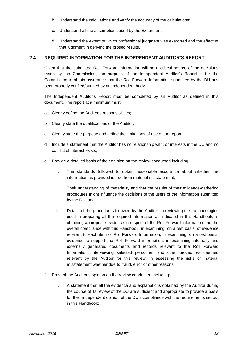- b. Understand the calculations and verify the accuracy of the calculations;
- c. Understand all the assumptions used by the Expert; and
- d. Understand the extent to which professional judgment was exercised and the effect of that judgment in deriving the prosed results.

### <span id="page-11-0"></span>**2.4 REQUIRED INFORMATION FOR THE INDEPENDENT AUDITOR'S REPORT**

Given that the submitted Roll Forward Information will be a critical source of the decisions made by the Commission, the purpose of the Independent Auditor's Report is for the Commission to obtain assurance that the Roll Forward Information submitted by the DU has been properly verified/audited by an independent body.

The Independent Auditor's Report must be completed by an Auditor as defined in this document. The report at a minimum must:

- a. Clearly define the Auditor's responsibilities;
- b. Clearly state the qualifications of the Auditor;
- c. Clearly state the purpose and define the limitations of use of the report;
- d. Include a statement that the Auditor has no relationship with, or interests in the DU and no conflict of interest exists;
- e. Provide a detailed basis of their opinion on the review conducted including:
	- i. The standards followed to obtain reasonable assurance about whether the information as provided is free from material misstatement;
	- ii. Their understanding of materiality and that the results of their evidence-gathering procedures might influence the decisions of the users of the information submitted by the DU; and
	- iii. Details of the procedures followed by the Auditor: in reviewing the methodologies used in preparing all the required information as indicated in this Handbook; in obtaining appropriate evidence in respect of the Roll Forward Information and the overall compliance with this Handbook; in examining, on a test basis, of evidence relevant to each item of Roll Forward Information; in examining, on a test basis, evidence to support the Roll Forward information; in examining internally and externally generated documents and records relevant to the Roll Forward Information, interviewing selected personnel, and other procedures deemed relevant by the Auditor for this review; in assessing the risks of material misstatement whether due to fraud, error or other reasons.
- f. Present the Auditor's opinion on the review conducted including:
	- i. A statement that all the evidence and explanations obtained by the Auditor during the course of its review of the DU are sufficient and appropriate to provide a basis for their independent opinion of the DU's compliance with the requirements set out in this Handbook;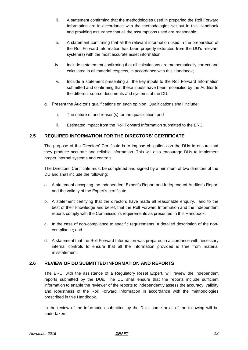- ii. A statement confirming that the methodologies used in preparing the Roll Forward Information are in accordance with the methodologies set out in this Handbook and providing assurance that all the assumptions used are reasonable;
- iii. A statement confirming that all the relevant information used in the preparation of the Roll Forward Information has been properly extracted from the DU's relevant system(s) with the most accurate asset information;
- iv. Include a statement confirming that all calculations are mathematically correct and calculated in all material respects, in accordance with this Handbook;
- v. Include a statement presenting all the key inputs to the Roll Forward Information submitted and confirming that these inputs have been reconciled by the Auditor to the different source documents and systems of the DU;
- g. Present the Auditor's qualifications on each opinion. Qualifications shall include:
	- i. The nature of and reason(s) for the qualification; and
	- ii. Estimated impact from the Roll Forward Information submitted to the ERC.

### <span id="page-12-0"></span>**2.5 REQUIRED INFORMATION FOR THE DIRECTORS' CERTIFICATE**

The purpose of the Directors' Certificate is to impose obligations on the DUs to ensure that they produce accurate and reliable information. This will also encourage DUs to implement proper internal systems and controls.

The Directors' Certificate must be completed and signed by a minimum of two directors of the DU and shall include the following:

- a. A statement accepting the Independent Expert's Report and Independent Auditor's Report and the validity of the Expert's certificate;
- b. A statement certifying that the directors have made all reasonable enquiry, and to the best of their knowledge and belief, that the Roll Forward Information and the independent reports comply with the Commission's requirements as presented in this Handbook;
- c. In the case of non-compliance to specific requirements, a detailed description of the noncompliance; and
- d. A statement that the Roll Forward Information was prepared in accordance with necessary internal controls to ensure that all the information provided is free from material misstatement.

### <span id="page-12-1"></span>**2.6 REVIEW OF DU SUBMITTED INFORMATION AND REPORTS**

The ERC, with the assistance of a Regulatory Reset Expert, will review the independent reports submitted by the DUs. The DU shall ensure that the reports include sufficient information to enable the reviewer of the reports to independently assess the accuracy, validity and robustness of the Roll Forward Information in accordance with the methodologies prescribed in this Handbook.

In the review of the information submitted by the DUs, some or all of the following will be undertaken: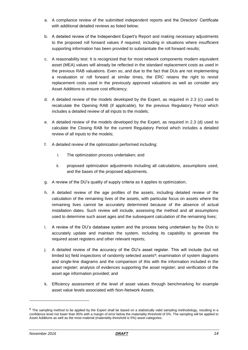- a. A compliance review of the submitted independent reports and the Directors' Certificate with additional detailed reviews as listed below;
- b. A detailed review of the Independent Expert's Report and making necessary adjustments to the proposed roll forward values if required, including in situations where insufficient supporting information has been provided to substantiate the roll forward results;
- c. A reasonability test: It is recognized that for most network components modern equivalent asset (MEA) values will already be reflected in the standard replacement costs as used in the previous RAB valuations. Even so, and due to the fact that DUs are not implementing a revaluation or roll forward at similar times, the ERC retains the right to revisit replacement costs used in the previously approved valuations as well as consider any Asset Additions to ensure cost efficiency;
- d. A detailed review of the models developed by the Expert, as required in 2.3 (c) used to recalculate the Opening RAB (if applicable), for the previous Regulatory Period which includes a detailed review of all inputs to the models;
- e. A detailed review of the models developed by the Expert, as required in 2.3 (d) used to calculate the Closing RAB for the current Regulatory Period which includes a detailed review of all inputs to the models;
- f. A detailed review of the optimization performed including:
	- i. The optimization process undertaken; and
	- ii. proposed optimization adjustments including all calculations, assumptions used, and the bases of the proposed adjustments.
- g. A review of the DU's quality of supply criteria as it applies to optimization;
- h. A detailed review of the age profiles of the assets, including detailed review of the calculation of the remaining lives of the assets, with particular focus on assets where the remaining lives cannot be accurately determined because of the absence of actual installation dates. Such review will include, assessing the method and all assumptions used to determine such asset ages and the subsequent calculation of the remaining lives;
- i. A review of the DU's database system and the process being undertaken by the DUs to accurately update and maintain the system, including its capability to generate the required asset registers and other relevant reports;
- j. A detailed review of the accuracy of the DU's asset register. This will include (but not limited to) field inspections of randomly selected assets<sup>9</sup>; examination of system diagrams and single-line diagrams and the comparison of this with the information included in the asset register; analysis of evidences supporting the asset register; and verification of the asset age information provided; and
- k. Efficiency assessment of the level of asset values through benchmarking for example asset value levels associated with Non-Network Assets.

<sup>&</sup>lt;sup>9</sup> The sampling method to be applied by the Expert shall be based on a statistically valid sampling methodology, resulting in a confidence level not lower than 95% with a margin of error below the materiality threshold of 5%. The sampling will be applied to Asset Additions as well as the most material (materiality threshold is 5%) asset categories.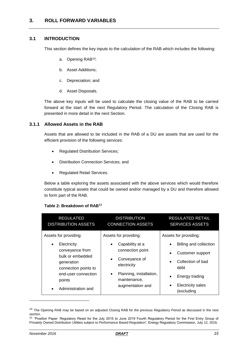### <span id="page-14-1"></span><span id="page-14-0"></span>**3.1 INTRODUCTION**

This section defines the key inputs to the calculation of the RAB which includes the following:

- a. Opening RAB<sup>10</sup>;
- b. Asset Additions;
- c. Depreciation; and
- d. Asset Disposals.

The above key inputs will be used to calculate the closing value of the RAB to be carried forward at the start of the next Regulatory Period. The calculation of the Closing RAB is presented in more detail in the next Section.

### <span id="page-14-2"></span>**3.1.1 Allowed Assets in the RAB**

Assets that are allowed to be included in the RAB of a DU are assets that are used for the efficient provision of the following services:

- Regulated Distribution Services;
- Distribution Connection Services; and
- Regulated Retail Services.

Below a table exploring the assets associated with the above services which would therefore constitute typical assets that could be owned and/or managed by a DU and therefore allowed to form part of the RAB.

### **Table 2: Breakdown of RAB<sup>11</sup>**

| <b>REGULATED</b><br><b>DISTRIBUTION ASSETS</b>                                                                                                            | <b>DISTRIBUTION</b><br><b>CONNECTION ASSETS</b>                                                                                                                           | <b>REGULATED RETAIL</b><br><b>SERVICES ASSETS</b>                                                                                                                                                    |
|-----------------------------------------------------------------------------------------------------------------------------------------------------------|---------------------------------------------------------------------------------------------------------------------------------------------------------------------------|------------------------------------------------------------------------------------------------------------------------------------------------------------------------------------------------------|
| Assets for providing:                                                                                                                                     | Assets for providing:                                                                                                                                                     | Assets for providing:                                                                                                                                                                                |
| Electricity<br>٠<br>conveyance from<br>bulk or embedded<br>generation<br>connection points to<br>end-user connection<br>points<br>Administration and<br>٠ | Capability at a<br>$\bullet$<br>connection point<br>Conveyance of<br>$\bullet$<br>electricity<br>Planning, installation,<br>$\bullet$<br>maintenance,<br>augmentation and | Billing and collection<br>$\bullet$<br>Customer support<br>$\bullet$<br>Collection of bad<br>$\bullet$<br>debt<br>Energy trading<br>$\bullet$<br><b>Electricity sales</b><br>$\bullet$<br>(excluding |

 $10$  The Opening RAB may be based on an adjusted Closing RAB for the previous Regulatory Period as discussed in the next section.

<sup>11</sup> "Position Paper: Regulatory Reset for the July 2015 to June 2019 Fourth Regulatory Period for the First Entry Group of Privately Owned Distribution Utilities subject to Performance Based Regulation", Energy Regulatory Commission, July 12, 2016.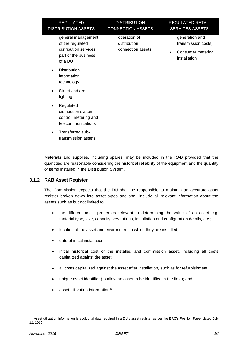| <b>REGULATED</b><br><b>DISTRIBUTION ASSETS</b>                                                     | <b>DISTRIBUTION</b><br><b>CONNECTION ASSETS</b>   | <b>REGULATED RETAIL</b><br><b>SERVICES ASSETS</b>                          |
|----------------------------------------------------------------------------------------------------|---------------------------------------------------|----------------------------------------------------------------------------|
| general management<br>of the regulated<br>distribution services<br>part of the business<br>of a DU | operation of<br>distribution<br>connection assets | generation and<br>transmission costs)<br>Consumer metering<br>installation |
| <b>Distribution</b><br>information<br>technology                                                   |                                                   |                                                                            |
| Street and area<br>lighting                                                                        |                                                   |                                                                            |
| Regulated<br>distribution system<br>control, metering and<br>telecommunications                    |                                                   |                                                                            |
| Transferred sub-<br>transmission assets                                                            |                                                   |                                                                            |

Materials and supplies, including spares, may be included in the RAB provided that the quantities are reasonable considering the historical reliability of the equipment and the quantity of items installed in the Distribution System.

### <span id="page-15-0"></span>**3.1.2 RAB Asset Register**

The Commission expects that the DU shall be responsible to maintain an accurate asset register broken down into asset types and shall include all relevant information about the assets such as but not limited to:

- the different asset properties relevant to determining the value of an asset e.g. material type, size, capacity, key ratings, installation and configuration details, etc.;
- location of the asset and environment in which they are installed;
- date of initial installation;
- initial historical cost of the installed and commission asset, including all costs capitalized against the asset;
- all costs capitalized against the asset after installation, such as for refurbishment;
- unique asset identifier (to allow an asset to be identified in the field); and
- $\bullet$  asset utilization information<sup>12</sup>.

 $12$  Asset utilization information is additional data required in a DU's asset register as per the ERC's Position Paper dated July 12, 2016.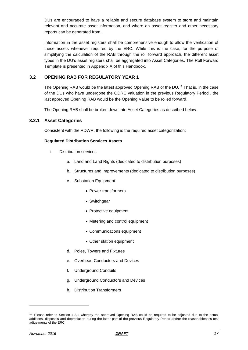DUs are encouraged to have a reliable and secure database system to store and maintain relevant and accurate asset information, and where an asset register and other necessary reports can be generated from.

Information in the asset registers shall be comprehensive enough to allow the verification of these assets whenever required by the ERC. While this is the case, for the purpose of simplifying the calculation of the RAB through the roll forward approach, the different asset types in the DU's asset registers shall be aggregated into Asset Categories. The Roll Forward Template is presented in Appendix A of this Handbook.

### <span id="page-16-0"></span>**3.2 OPENING RAB FOR REGULATORY YEAR 1**

The Opening RAB would be the latest approved Opening RAB of the DU.<sup>13</sup> That is, in the case of the DUs who have undergone the ODRC valuation in the previous Regulatory Period , the last approved Opening RAB would be the Opening Value to be rolled forward.

The Opening RAB shall be broken down into Asset Categories as described below.

### <span id="page-16-1"></span>**3.2.1 Asset Categories**

Consistent with the RDWR, the following is the required asset categorization:

### **Regulated Distribution Services Assets**

- i. Distribution services
	- a. Land and Land Rights (dedicated to distribution purposes)
	- b. Structures and Improvements (dedicated to distribution purposes)
	- c. Substation Equipment
		- Power transformers
		- Switchgear
		- Protective equipment
		- Metering and control equipment
		- Communications equipment
		- Other station equipment
	- d. Poles, Towers and Fixtures
	- e. Overhead Conductors and Devices
	- f. Underground Conduits
	- g. Underground Conductors and Devices
	- h. Distribution Transformers

<sup>&</sup>lt;sup>13</sup> Please refer to Section 4.2.1 whereby the approved Opening RAB could be required to be adjusted due to the actual additions, disposals and depreciation during the latter part of the previous Regulatory Period and/or the reasonableness test adjustments of the ERC.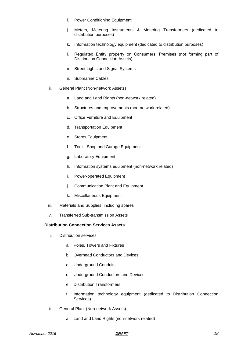- i. Power Conditioning Equipment
- j. Meters, Metering Instruments & Metering Transformers (dedicated to distribution purposes)
- k. Information technology equipment (dedicated to distribution purposes)
- l. Regulated Entity property on Consumers' Premises (not forming part of Distribution Connection Assets)
- m. Street Lights and Signal Systems
- n. Submarine Cables
- ii. General Plant (Non-network Assets)
	- a. Land and Land Rights (non-network related)
	- b. Structures and Improvements (non-network related)
	- c. Office Furniture and Equipment
	- d. Transportation Equipment
	- e. Stores Equipment
	- f. Tools, Shop and Garage Equipment
	- g. Laboratory Equipment
	- h. Information systems equipment (non-network related)
	- i. Power-operated Equipment
	- j. Communication Plant and Equipment
	- k. Miscellaneous Equipment
- iii. Materials and Supplies, including spares
- iv. Transferred Sub-transmission Assets

#### **Distribution Connection Services Assets**

- i. Distribution services
	- a. Poles, Towers and Fixtures
	- b. Overhead Conductors and Devices
	- c. Underground Conduits
	- d. Underground Conductors and Devices
	- e. Distribution Transformers
	- f. Information technology equipment (dedicated to Distribution Connection Services)
- ii. General Plant (Non-network Assets)
	- a. Land and Land Rights (non-network related)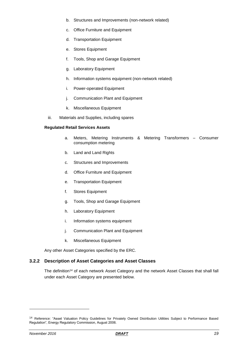- b. Structures and Improvements (non-network related)
- c. Office Furniture and Equipment
- d. Transportation Equipment
- e. Stores Equipment
- f. Tools, Shop and Garage Equipment
- g. Laboratory Equipment
- h. Information systems equipment (non-network related)
- i. Power-operated Equipment
- j. Communication Plant and Equipment
- k. Miscellaneous Equipment
- iii. Materials and Supplies, including spares

#### **Regulated Retail Services Assets**

- a. Meters, Metering Instruments & Metering Transformers Consumer consumption metering
- b. Land and Land Rights
- c. Structures and Improvements
- d. Office Furniture and Equipment
- e. Transportation Equipment
- f. Stores Equipment
- g. Tools, Shop and Garage Equipment
- h. Laboratory Equipment
- i. Information systems equipment
- j. Communication Plant and Equipment
- k. Miscellaneous Equipment

Any other Asset Categories specified by the ERC.

### <span id="page-18-0"></span>**3.2.2 Description of Asset Categories and Asset Classes**

The definition<sup>14</sup> of each network Asset Category and the network Asset Classes that shall fall under each Asset Category are presented below.

<sup>&</sup>lt;sup>14</sup> Reference: "Asset Valuation Policy Guidelines for Privately Owned Distribution Utilities Subject to Performance Based Regulation", Energy Regulatory Commission, August 2006.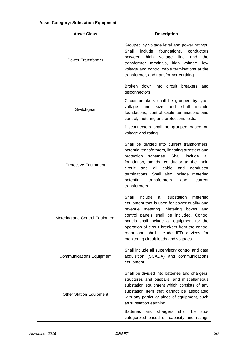| <b>Asset Category: Substation Equipment</b> |                                                                                                                                                                                                                                                                                                                                                                            |  |  |  |
|---------------------------------------------|----------------------------------------------------------------------------------------------------------------------------------------------------------------------------------------------------------------------------------------------------------------------------------------------------------------------------------------------------------------------------|--|--|--|
| <b>Asset Class</b>                          | <b>Description</b>                                                                                                                                                                                                                                                                                                                                                         |  |  |  |
| <b>Power Transformer</b>                    | Grouped by voltage level and power ratings.<br>Shall<br>include<br>foundations,<br>conductors<br>high<br>voltage<br>line<br>the<br>between<br>and<br>transformer terminals, high voltage,<br>low<br>voltage and control cable terminations at the<br>transformer, and transformer earthing.                                                                                |  |  |  |
|                                             | Broken down into circuit breakers<br>and<br>disconnectors.                                                                                                                                                                                                                                                                                                                 |  |  |  |
| Switchgear                                  | Circuit breakers shall be grouped by type,<br>and<br>size<br>and<br>shall<br>include<br>voltage<br>foundations, control cable terminations and<br>control, metering and protections tests.                                                                                                                                                                                 |  |  |  |
|                                             | Disconnectors shall be grouped based on<br>voltage and rating.                                                                                                                                                                                                                                                                                                             |  |  |  |
| Protective Equipment                        | Shall be divided into current transformers,<br>potential transformers, lightning arresters and<br>schemes.<br>Shall<br>protection<br>include<br>all<br>foundation, stands, conductor to the main<br>circuit<br>all<br>cable<br>and<br>and<br>conductor<br>terminations. Shall also include metering<br>transformers<br>potential<br>and<br>current<br>transformers.        |  |  |  |
| Metering and Control Equipment              | Shall<br>include<br>all<br>substation<br>metering<br>equipment that is used for power quality and<br>revenue metering. Metering boxes and<br>control panels shall be included. Control<br>panels shall include all equipment for the<br>operation of circuit breakers from the control<br>room and shall include IED devices for<br>monitoring circuit loads and voltages. |  |  |  |
| <b>Communications Equipment</b>             | Shall include all supervisory control and data<br>acquisition (SCADA) and communications<br>equipment.                                                                                                                                                                                                                                                                     |  |  |  |
| <b>Other Station Equipment</b>              | Shall be divided into batteries and chargers,<br>structures and busbars, and miscellaneous<br>substation equipment which consists of any<br>substation item that cannot be associated<br>with any particular piece of equipment, such<br>as substation earthing.                                                                                                           |  |  |  |
|                                             | Batteries and chargers shall<br>be<br>sub-<br>categorized based on capacity and ratings                                                                                                                                                                                                                                                                                    |  |  |  |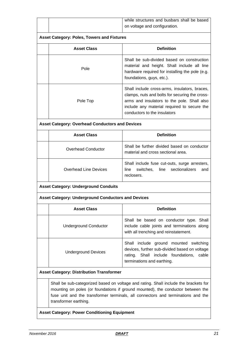| while structures and busbars shall be based |
|---------------------------------------------|
| on voltage and configuration.               |

### **Asset Category: Poles, Towers and Fixtures**

| <b>Asset Class</b> | <b>Definition</b>                                                                                                                                                                                                             |
|--------------------|-------------------------------------------------------------------------------------------------------------------------------------------------------------------------------------------------------------------------------|
| Pole               | Shall be sub-divided based on construction<br>material and height. Shall include all line<br>hardware required for installing the pole (e.g.<br>foundations, guys, etc.).                                                     |
| Pole Top           | Shall include cross-arms, insulators, braces,<br>clamps, nuts and bolts for securing the cross-<br>arms and insulators to the pole. Shall also<br>include any material required to secure the<br>conductors to the insulators |

### **Asset Category: Overhead Conductors and Devices**

| <b>Asset Class</b>           | <b>Definition</b>                                                                                           |  |  |  |
|------------------------------|-------------------------------------------------------------------------------------------------------------|--|--|--|
| Overhead Conductor           | Shall be further divided based on conductor<br>material and cross sectional area.                           |  |  |  |
| <b>Overhead Line Devices</b> | Shall include fuse cut-outs, surge arresters,<br>switches, line sectionalizers<br>line<br>and<br>reclosers. |  |  |  |

### **Asset Category: Underground Conduits**

### **Asset Category: Underground Conductors and Devices**

| <b>Asset Class</b>           | <b>Definition</b>                                                                                                                                                 |  |  |  |
|------------------------------|-------------------------------------------------------------------------------------------------------------------------------------------------------------------|--|--|--|
| <b>Underground Conductor</b> | Shall be based on conductor type. Shall<br>include cable joints and terminations along<br>with all trenching and reinstatement.                                   |  |  |  |
| <b>Underground Devices</b>   | Shall include ground mounted switching<br>devices, further sub-divided based on voltage<br>rating. Shall include foundations, cable<br>terminations and earthing. |  |  |  |

### **Asset Category: Distribution Transformer**

Shall be sub-categorized based on voltage and rating. Shall include the brackets for mounting on poles (or foundations if ground mounted), the conductor between the fuse unit and the transformer terminals, all connectors and terminations and the transformer earthing.

**Asset Category: Power Conditioning Equipment**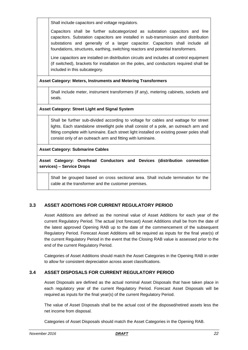Shall include capacitors and voltage regulators.

Capacitors shall be further subcategorized as substation capacitors and line capacitors. Substation capacitors are installed in sub-transmission and distribution substations and generally of a larger capacitor. Capacitors shall include all foundations, structures, earthing, switching reactors and potential transformers.

Line capacitors are installed on distribution circuits and includes all control equipment (if switched), brackets for installation on the poles, and conductors required shall be included in this subcategory.

**Asset Category: Meters, Instruments and Metering Transformers** 

Shall include meter, instrument transformers (if any), metering cabinets, sockets and seals.

### **Asset Category: Street Light and Signal System**

Shall be further sub-divided according to voltage for cables and wattage for street lights. Each standalone streetlight pole shall consist of a pole, an outreach arm and fitting complete with luminaire. Each street light installed on existing power poles shall consist only of an outreach arm and fitting with luminaire.

### **Asset Category: Submarine Cables**

**Asset Category: Overhead Conductors and Devices (distribution connection services) – Service Drops**

Shall be grouped based on cross sectional area. Shall include termination for the cable at the transformer and the customer premises.

### <span id="page-21-0"></span>**3.3 ASSET ADDITIONS FOR CURRENT REGULATORY PERIOD**

Asset Additions are defined as the nominal value of Asset Additions for each year of the current Regulatory Period. The actual (not forecast) Asset Additions shall be from the date of the latest approved Opening RAB up to the date of the commencement of the subsequent Regulatory Period. Forecast Asset Additions will be required as inputs for the final year(s) of the current Regulatory Period in the event that the Closing RAB value is assessed prior to the end of the current Regulatory Period.

Categories of Asset Additions should match the Asset Categories in the Opening RAB in order to allow for consistent depreciation across asset classifications.

### <span id="page-21-1"></span>**3.4 ASSET DISPOSALS FOR CURRENT REGULATORY PERIOD**

Asset Disposals are defined as the actual nominal Asset Disposals that have taken place in each regulatory year of the current Regulatory Period. Forecast Asset Disposals will be required as inputs for the final year(s) of the current Regulatory Period.

The value of Asset Disposals shall be the actual cost of the disposed/retired assets less the net income from disposal.

Categories of Asset Disposals should match the Asset Categories in the Opening RAB.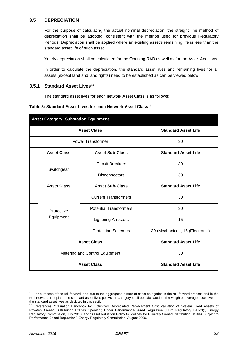### <span id="page-22-0"></span>**3.5 DEPRECIATION**

For the purpose of calculating the actual nominal depreciation, the straight line method of depreciation shall be adopted, consistent with the method used for previous Regulatory Periods. Depreciation shall be applied where an existing asset's remaining life is less than the standard asset life of such asset.

Yearly depreciation shall be calculated for the Opening RAB as well as for the Asset Additions.

In order to calculate the depreciation, the standard asset lives and remaining lives for all assets (except land and land rights) need to be established as can be viewed below.

### <span id="page-22-1"></span>**3.5.1 Standard Asset Lives<sup>15</sup>**

The standard asset lives for each network Asset Class is as follows:

#### **Table 3: Standard Asset Lives for each Network Asset Class<sup>16</sup>**

| <b>Asset Category: Substation Equipment</b> |                                              |                               |                                  |  |
|---------------------------------------------|----------------------------------------------|-------------------------------|----------------------------------|--|
|                                             | <b>Asset Class</b>                           |                               | <b>Standard Asset Life</b>       |  |
|                                             |                                              | <b>Power Transformer</b>      | 30                               |  |
|                                             | <b>Asset Class</b><br><b>Asset Sub-Class</b> |                               | <b>Standard Asset Life</b>       |  |
|                                             | Switchgear                                   | <b>Circuit Breakers</b>       | 30                               |  |
|                                             |                                              | <b>Disconnectors</b>          | 30                               |  |
|                                             | <b>Asset Class</b>                           | <b>Asset Sub-Class</b>        | <b>Standard Asset Life</b>       |  |
|                                             |                                              | <b>Current Transformers</b>   | 30                               |  |
|                                             | Protective                                   | <b>Potential Transformers</b> | 30                               |  |
|                                             | Equipment                                    | <b>Lightning Arresters</b>    | 15                               |  |
|                                             |                                              | <b>Protection Schemes</b>     | 30 (Mechanical), 15 (Electronic) |  |
|                                             | <b>Asset Class</b>                           |                               | <b>Standard Asset Life</b>       |  |
|                                             | Metering and Control Equipment               |                               | 30                               |  |
|                                             | <b>Asset Class</b>                           |                               | <b>Standard Asset Life</b>       |  |

<sup>&</sup>lt;sup>15</sup> For purposes of the roll forward, and due to the aggregated nature of asset categories in the roll forward process and in the Roll Forward Template, the standard asset lives per Asset Category shall be calculated as the weighted average asset lives of the standard asset lives as depicted in this section.

<sup>&</sup>lt;sup>16</sup> References: "Valuation Handbook for Optimized Depreciated Replacement Cost Valuation of System Fixed Assets of Privately Owned Distribution Utilities Operating Under Performance-Based Regulation (Third Regulatory Period)", Energy Regulatory Commission, July 2010; and "Asset Valuation Policy Guidelines for Privately Owned Distribution Utilities Subject to Performance Based Regulation", Energy Regulatory Commission, August 2006.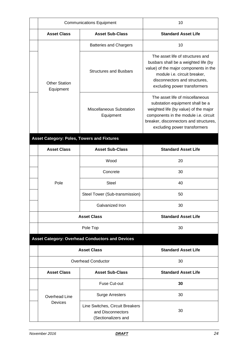| <b>Communications Equipment</b>              |                                                                             | 10                                                                                                                                                                                                                             |  |  |
|----------------------------------------------|-----------------------------------------------------------------------------|--------------------------------------------------------------------------------------------------------------------------------------------------------------------------------------------------------------------------------|--|--|
| <b>Asset Sub-Class</b><br><b>Asset Class</b> |                                                                             | <b>Standard Asset Life</b>                                                                                                                                                                                                     |  |  |
|                                              | <b>Batteries and Chargers</b>                                               | 10                                                                                                                                                                                                                             |  |  |
| <b>Other Station</b><br>Equipment            | <b>Structures and Busbars</b>                                               | The asset life of structures and<br>busbars shall be a weighted life (by<br>value) of the major components in the<br>module i.e. circuit breaker,<br>disconnectors and structures,<br>excluding power transformers             |  |  |
|                                              | <b>Miscellaneous Substation</b><br>Equipment                                | The asset life of miscellaneous<br>substation equipment shall be a<br>weighted life (by value) of the major<br>components in the module i.e. circuit<br>breaker, disconnectors and structures,<br>excluding power transformers |  |  |
| Asset Category: Poles, Towers and Fixtures   |                                                                             |                                                                                                                                                                                                                                |  |  |
| <b>Asset Class</b>                           | <b>Asset Sub-Class</b>                                                      | <b>Standard Asset Life</b>                                                                                                                                                                                                     |  |  |
|                                              | Wood                                                                        | 20                                                                                                                                                                                                                             |  |  |
|                                              | Concrete                                                                    | 30                                                                                                                                                                                                                             |  |  |
| Pole                                         | <b>Steel</b>                                                                | 40                                                                                                                                                                                                                             |  |  |
|                                              | Steel Tower (Sub-transmission)                                              | 50                                                                                                                                                                                                                             |  |  |
|                                              | Galvanized Iron                                                             | 30                                                                                                                                                                                                                             |  |  |
|                                              | <b>Asset Class</b>                                                          | <b>Standard Asset Life</b>                                                                                                                                                                                                     |  |  |
|                                              | Pole Top                                                                    | 30                                                                                                                                                                                                                             |  |  |
|                                              | <b>Asset Category: Overhead Conductors and Devices</b>                      |                                                                                                                                                                                                                                |  |  |
|                                              | <b>Asset Class</b>                                                          | <b>Standard Asset Life</b>                                                                                                                                                                                                     |  |  |
|                                              | Overhead Conductor                                                          | 30                                                                                                                                                                                                                             |  |  |
| <b>Asset Class</b>                           | <b>Asset Sub-Class</b>                                                      | <b>Standard Asset Life</b>                                                                                                                                                                                                     |  |  |
|                                              | <b>Fuse Cut-out</b>                                                         | 30                                                                                                                                                                                                                             |  |  |
| Overhead Line                                | <b>Surge Arresters</b>                                                      | 30                                                                                                                                                                                                                             |  |  |
| <b>Devices</b>                               | Line Switches, Circuit Breakers<br>and Disconnectors<br>(Sectionalizers and | 30                                                                                                                                                                                                                             |  |  |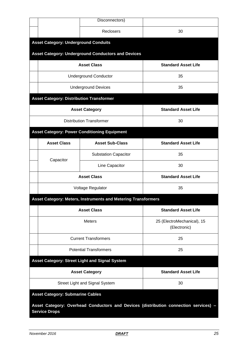|                                                 | Disconnectors)                                                |                                                                                      |  |  |  |
|-------------------------------------------------|---------------------------------------------------------------|--------------------------------------------------------------------------------------|--|--|--|
|                                                 | Reclosers                                                     | 30                                                                                   |  |  |  |
| <b>Asset Category: Underground Conduits</b>     |                                                               |                                                                                      |  |  |  |
|                                                 | <b>Asset Category: Underground Conductors and Devices</b>     |                                                                                      |  |  |  |
|                                                 | <b>Asset Class</b>                                            | <b>Standard Asset Life</b>                                                           |  |  |  |
|                                                 | <b>Underground Conductor</b>                                  | 35                                                                                   |  |  |  |
|                                                 | <b>Underground Devices</b>                                    | 35                                                                                   |  |  |  |
| <b>Asset Category: Distribution Transformer</b> |                                                               |                                                                                      |  |  |  |
|                                                 | <b>Asset Category</b>                                         | <b>Standard Asset Life</b>                                                           |  |  |  |
|                                                 | <b>Distribution Transformer</b>                               | 30                                                                                   |  |  |  |
|                                                 | <b>Asset Category: Power Conditioning Equipment</b>           |                                                                                      |  |  |  |
| <b>Asset Class</b>                              | <b>Asset Sub-Class</b>                                        | <b>Standard Asset Life</b>                                                           |  |  |  |
| Capacitor                                       | <b>Substation Capacitor</b>                                   | 35                                                                                   |  |  |  |
|                                                 | Line Capacitor                                                | 30                                                                                   |  |  |  |
| <b>Asset Class</b>                              |                                                               | <b>Standard Asset Life</b>                                                           |  |  |  |
| Voltage Regulator                               |                                                               | 35                                                                                   |  |  |  |
|                                                 | Asset Category: Meters, Instruments and Metering Transformers |                                                                                      |  |  |  |
| <b>Asset Class</b>                              |                                                               | <b>Standard Asset Life</b>                                                           |  |  |  |
|                                                 | <b>Meters</b>                                                 | 25 (ElectroMechanical), 15<br>(Electronic)                                           |  |  |  |
|                                                 | <b>Current Transformers</b>                                   | 25                                                                                   |  |  |  |
|                                                 | <b>Potential Transformers</b>                                 | 25                                                                                   |  |  |  |
|                                                 | <b>Asset Category: Street Light and Signal System</b>         |                                                                                      |  |  |  |
|                                                 | <b>Asset Category</b>                                         | <b>Standard Asset Life</b>                                                           |  |  |  |
|                                                 | Street Light and Signal System                                | 30                                                                                   |  |  |  |
| <b>Asset Category: Submarine Cables</b>         |                                                               |                                                                                      |  |  |  |
| <b>Service Drops</b>                            |                                                               | Asset Category: Overhead Conductors and Devices (distribution connection services) - |  |  |  |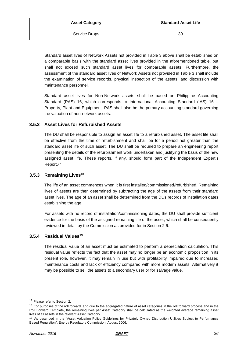| <b>Asset Category</b> | <b>Standard Asset Life</b> |
|-----------------------|----------------------------|
| Service Drops         | 30                         |

Standard asset lives of Network Assets not provided in Table 3 above shall be established on a comparable basis with the standard asset lives provided in the aforementioned table, but shall not exceed such standard asset lives for comparable assets. Furthermore, the assessment of the standard asset lives of Network Assets not provided in Table 3 shall include the examination of service records, physical inspection of the assets, and discussion with maintenance personnel.

Standard asset lives for Non-Network assets shall be based on Philippine Accounting Standard (PAS) 16, which corresponds to International Accounting Standard (IAS) 16 – Property, Plant and Equipment. PAS shall also be the primary accounting standard governing the valuation of non-network assets.

### <span id="page-25-0"></span>**3.5.2 Asset Lives for Refurbished Assets**

The DU shall be responsible to assign an asset life to a refurbished asset. The asset life shall be effective from the time of refurbishment and shall be for a period not greater than the standard asset life of such asset. The DU shall be required to prepare an engineering report presenting the details of the refurbishment work undertaken and justifying the basis of the new assigned asset life. These reports, if any, should form part of the Independent Expert's Report.<sup>17</sup>

### <span id="page-25-1"></span>**3.5.3 Remaining Lives<sup>18</sup>**

The life of an asset commences when it is first installed/commissioned/refurbished. Remaining lives of assets are then determined by subtracting the age of the assets from their standard asset lives. The age of an asset shall be determined from the DUs records of installation dates establishing the age.

For assets with no record of installation/commissioning dates, the DU shall provide sufficient evidence for the basis of the assigned remaining life of the asset, which shall be consequently reviewed in detail by the Commission as provided for in Section 2.6.

### <span id="page-25-2"></span>**3.5.4 Residual Values<sup>19</sup>**

The residual value of an asset must be estimated to perform a depreciation calculation. This residual value reflects the fact that the asset may no longer be an economic proposition in its present role, however, it may remain in use but with profitability impaired due to increased maintenance costs and lack of efficiency compared with more modern assets. Alternatively it may be possible to sell the assets to a secondary user or for salvage value.

<sup>&</sup>lt;sup>17</sup> Please refer to Section 2.

<sup>&</sup>lt;sup>18</sup> For purposes of the roll forward, and due to the aggregated nature of asset categories in the roll forward process and in the Roll Forward Template, the remaining lives per Asset Category shall be calculated as the weighted average remaining asset lives of all assets in the relevant Asset Category.

<sup>&</sup>lt;sup>19</sup> As described in the "Asset Valuation Policy Guidelines for Privately Owned Distribution Utilities Subject to Performance Based Regulation", Energy Regulatory Commission, August 2006.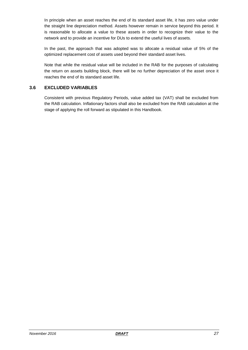In principle when an asset reaches the end of its standard asset life, it has zero value under the straight line depreciation method. Assets however remain in service beyond this period. It is reasonable to allocate a value to these assets in order to recognize their value to the network and to provide an incentive for DUs to extend the useful lives of assets.

In the past, the approach that was adopted was to allocate a residual value of 5% of the optimized replacement cost of assets used beyond their standard asset lives.

Note that while the residual value will be included in the RAB for the purposes of calculating the return on assets building block, there will be no further depreciation of the asset once it reaches the end of its standard asset life.

### <span id="page-26-0"></span>**3.6 EXCLUDED VARIABLES**

Consistent with previous Regulatory Periods, value added tax (VAT) shall be excluded from the RAB calculation. Inflationary factors shall also be excluded from the RAB calculation at the stage of applying the roll forward as stipulated in this Handbook.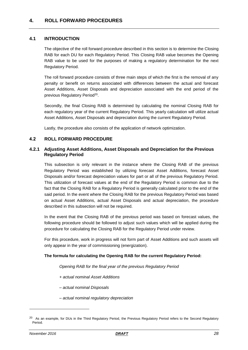### <span id="page-27-1"></span><span id="page-27-0"></span>**4.1 INTRODUCTION**

The objective of the roll forward procedure described in this section is to determine the Closing RAB for each DU for each Regulatory Period. This Closing RAB value becomes the Opening RAB value to be used for the purposes of making a regulatory determination for the next Regulatory Period.

The roll forward procedure consists of three main steps of which the first is the removal of any penalty or benefit on returns associated with differences between the actual and forecast Asset Additions, Asset Disposals and depreciation associated with the end period of the previous Regulatory Period<sup>20</sup>.

Secondly, the final Closing RAB is determined by calculating the nominal Closing RAB for each regulatory year of the current Regulatory Period. This yearly calculation will utilize actual Asset Additions, Asset Disposals and depreciation during the current Regulatory Period.

Lastly, the procedure also consists of the application of network optimization.

### <span id="page-27-2"></span>**4.2 ROLL FORWARD PROCEDURE**

### <span id="page-27-3"></span>**4.2.1 Adjusting Asset Additions, Asset Disposals and Depreciation for the Previous Regulatory Period**

This subsection is only relevant in the instance where the Closing RAB of the previous Regulatory Period was established by utilizing forecast Asset Additions, forecast Asset Disposals and/or forecast depreciation values for part or all of the previous Regulatory Period. This utilization of forecast values at the end of the Regulatory Period is common due to the fact that the Closing RAB for a Regulatory Period is generally calculated prior to the end of the said period. In the event where the Closing RAB for the previous Regulatory Period was based on actual Asset Additions, actual Asset Disposals and actual depreciation, the procedure described in this subsection will not be required.

In the event that the Closing RAB of the previous period was based on forecast values, the following procedure should be followed to adjust such values which will be applied during the procedure for calculating the Closing RAB for the Regulatory Period under review.

For this procedure, work in progress will not form part of Asset Additions and such assets will only appear in the year of commissioning (energization).

### **The formula for calculating the Opening RAB for the current Regulatory Period:**

*Opening RAB for the final year of the previous Regulatory Period*

- *+ actual nominal Asset Additions*
- *– actual nominal Disposals*
- *– actual nominal regulatory depreciation*

<sup>&</sup>lt;sup>20</sup> As an example, for DUs in the Third Regulatory Period, the Previous Regulatory Period refers to the Second Regulatory Period.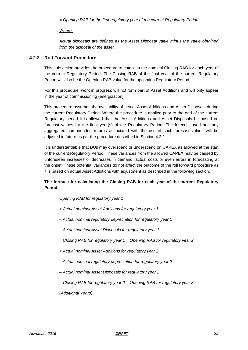*= Opening RAB for the first regulatory year of the current Regulatory Period*

### *Where:*

*Actual disposals are defined as the Asset Disposal value minus the value obtained from the disposal of the asset.*

### <span id="page-28-0"></span>**4.2.2 Roll Forward Procedure**

This subsection provides the procedure to establish the nominal Closing RAB for each year of the current Regulatory Period. The Closing RAB of the final year of the current Regulatory Period will also be the Opening RAB value for the upcoming Regulatory Period.

For this procedure, work in progress will not form part of Asset Additions and will only appear in the year of commissioning (energization).

This procedure assumes the availability of actual Asset Additions and Asset Disposals during the current Regulatory Period. Where the procedure is applied prior to the end of the current Regulatory period it is allowed that the Asset Additions and Asset Disposals be based on forecast values for the final year(s) of the Regulatory Period. The forecast used and any aggregated compounded returns associated with the use of such forecast values will be adjusted in future as per the procedure described in Section 4.2.1.

It is understandable that DUs may overspend or underspend on CAPEX as allowed at the start of the current Regulatory Period. These variances from the allowed CAPEX may be caused by unforeseen increases or decreases in demand, actual costs or even errors in forecasting at the onset. These potential variances do not affect the outcome of the roll forward procedure as it is based on actual Asset Additions with adjustment as described in the following section.

### **The formula for calculating the Closing RAB for each year of the current Regulatory Period:**

*Opening RAB for regulatory year 1*

- *+ Actual nominal Asset Additions for regulatory year 1*
- *– Actual nominal regulatory depreciation for regulatory year 1*
- *– Actual nominal Asset Disposals for regulatory year 1*
- *= Closing RAB for regulatory year 1 = Opening RAB for regulatory year 2*
- *+ Actual nominal Asset Additions for regulatory year 2*
- *– Actual nominal regulatory depreciation for regulatory year 2*
- *– Actual nominal Asset Disposals for regulatory year 2*
- *= Closing RAB for regulatory year 2 = Opening RAB for regulatory year 3*

*(Additional Years)*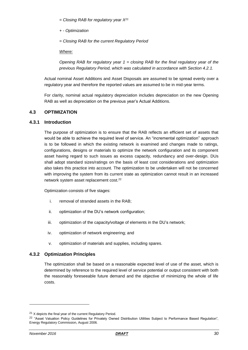*= Closing RAB for regulatory year X<sup>21</sup>*

*+ - Optimization*

*= Closing RAB for the current Regulatory Period*

*Where:*

*Opening RAB for regulatory year 1 = closing RAB for the final regulatory year of the previous Regulatory Period, which was calculated in accordance with Section 4.2.1.*

Actual nominal Asset Additions and Asset Disposals are assumed to be spread evenly over a regulatory year and therefore the reported values are assumed to be in mid-year terms.

For clarity, nominal actual regulatory depreciation includes depreciation on the new Opening RAB as well as depreciation on the previous year's Actual Additions.

### <span id="page-29-0"></span>**4.3 OPTIMIZATION**

### <span id="page-29-1"></span>**4.3.1 Introduction**

The purpose of optimization is to ensure that the RAB reflects an efficient set of assets that would be able to achieve the required level of service. An "incremental optimization" approach is to be followed in which the existing network is examined and changes made to ratings, configurations, designs or materials to optimize the network configuration and its component asset having regard to such issues as excess capacity, redundancy and over-design. DUs shall adopt standard sizes/ratings on the basis of least cost considerations and optimization also takes this practice into account. The optimization to be undertaken will not be concerned with improving the system from its current state as optimization cannot result in an increased network system asset replacement cost.<sup>22</sup>

Optimization consists of five stages:

- i. removal of stranded assets in the RAB;
- ii. optimization of the DU's network configuration;
- iii. optimization of the capacity/voltage of elements in the DU's network;
- iv. optimization of network engineering; and
- v. optimization of materials and supplies, including spares.

### <span id="page-29-2"></span>**4.3.2 Optimization Principles**

The optimization shall be based on a reasonable expected level of use of the asset, which is determined by reference to the required level of service potential or output consistent with both the reasonably foreseeable future demand and the objective of minimizing the whole of life costs.

 $21$  X depicts the final year of the current Regulatory Period.

<sup>&</sup>lt;sup>22</sup> "Asset Valuation Policy Guidelines for Privately Owned Distribution Utilities Subject to Performance Based Regulation", Energy Regulatory Commission, August 2006.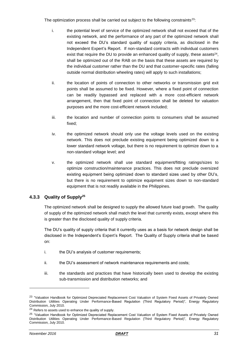The optimization process shall be carried out subject to the following constraints<sup>23</sup>:

- i. the potential level of service of the optimized network shall not exceed that of the existing network, and the performance of any part of the optimized network shall not exceed the DU's standard quality of supply criteria, as disclosed in the Independent Expert's Report. If non-standard contracts with individual customers exist that require the DU to provide an enhanced quality of supply, these assets $^{24}$ , shall be optimized out of the RAB on the basis that these assets are required by the individual customer rather than the DU and that customer-specific rates (falling outside normal distribution wheeling rates) will apply to such installations;
- ii. the location of points of connection to other networks or transmission grid exit points shall be assumed to be fixed. However, where a fixed point of connection can be readily bypassed and replaced with a more cost-efficient network arrangement, then that fixed point of connection shall be deleted for valuation purposes and the more cost-efficient network included;
- iii. the location and number of connection points to consumers shall be assumed fixed;
- iv. the optimized network should only use the voltage levels used on the existing network. This does not preclude existing equipment being optimized down to a lower standard network voltage, but there is no requirement to optimize down to a non-standard voltage level; and
- v. the optimized network shall use standard equipment/fitting ratings/sizes to optimize construction/maintenance practices. This does not preclude oversized existing equipment being optimized down to standard sizes used by other DU's, but there is no requirement to optimize equipment sizes down to non-standard equipment that is not readily available in the Philippines.

### <span id="page-30-0"></span>**4.3.3 Quality of Supply<sup>25</sup>**

The optimized network shall be designed to supply the allowed future load growth. The quality of supply of the optimized network shall match the level that currently exists, except where this is greater than the disclosed quality of supply criteria.

The DU's quality of supply criteria that it currently uses as a basis for network design shall be disclosed in the Independent's Expert's Report. The Quality of Supply criteria shall be based on:

- i. the DU's analysis of customer requirements;
- ii. the DU's assessment of network maintenance requirements and costs;
- iii. the standards and practices that have historically been used to develop the existing sub-transmission and distribution networks; and

<sup>&</sup>lt;sup>23</sup> "Valuation Handbook for Optimized Depreciated Replacement Cost Valuation of System Fixed Assets of Privately Owned Distribution Utilities Operating Under Performance-Based Regulation (Third Regulatory Period)", Energy Regulatory Commission, July 2010.

<sup>&</sup>lt;sup>24</sup> Refers to assets used to enhance the quality of supply.

<sup>&</sup>lt;sup>25</sup> "Valuation Handbook for Optimized Depreciated Replacement Cost Valuation of System Fixed Assets of Privately Owned Distribution Utilities Operating Under Performance-Based Regulation (Third Regulatory Period)", Energy Regulatory Commission, July 2010.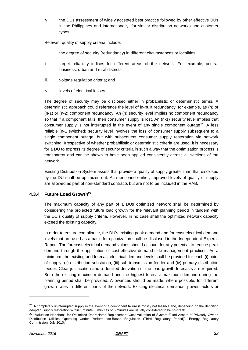iv. the DUs assessment of widely accepted best practice followed by other effective DUs in the Philippines and internationally, for similar distribution networks and customer types.

Relevant quality of supply criteria include:

- i. the degree of security (redundancy) in different circumstances or localities;
- ii. target reliability indices for different areas of the network. For example, central business, urban and rural districts;
- iii. voltage regulation criteria; and
- iv. levels of electrical losses.

The degree of security may be disclosed either in probabilistic or deterministic terms. A deterministic approach could reference the level of in-built redundancy, for example, as (n) or (n-1) or (n-2) component redundancy. An (n) security level implies no component redundancy so that if a component fails, then consumer supply is lost. An (n-1) security level implies that consumer supply is not interrupted in the event of any single component outage<sup>26</sup>. A less reliable (n-1 switched) security level involves the loss of consumer supply subsequent to a single component outage, but with subsequent consumer supply restoration via network switching. Irrespective of whether probabilistic or deterministic criteria are used, it is necessary for a DU to express its degree of security criteria in such a way that the optimization process is transparent and can be shown to have been applied consistently across all sections of the network.

Existing Distribution System assets that provide a quality of supply greater than that disclosed by the DU shall be optimized out. As mentioned earlier, improved levels of quality of supply are allowed as part of non-standard contracts but are not to be included in the RAB.

### <span id="page-31-0"></span>**4.3.4 Future Load Growth<sup>27</sup>**

The maximum capacity of any part of a DUs optimized network shall be determined by considering the projected future load growth for the relevant planning period in tandem with the DU's quality of supply criteria. However, in no case shall the optimized network capacity exceed the existing capacity.

In order to ensure compliance, the DU's existing peak demand and forecast electrical demand levels that are used as a basis for optimization shall be disclosed in the Independent Expert's Report. The forecast electrical demand values should account for any potential to reduce peak demand through the application of cost-effective demand-side management practices. As a minimum, the existing and forecast electrical demand levels shall be provided for each (i) point of supply, (ii) distribution substation, (iii) sub-transmission feeder and (iv) primary distribution feeder. Clear justification and a detailed derivation of the load growth forecasts are required. Both the existing maximum demand and the highest forecast maximum demand during the planning period shall be provided. Allowances should be made, where possible, for different growth rates in different parts of the network. Existing electrical demands, power factors or

 $26$  A completely uninterrupted supply in the event of a component failure is mostly not feasible and, depending on the definition adopted, supply restoration within 1 minute, 3 minutes or 5 minutes are usually considered to be no-break.

<sup>&</sup>lt;sup>27</sup> "Valuation Handbook for Optimized Depreciated Replacement Cost Valuation of System Fixed Assets of Privately Owned Distribution Utilities Operating Under Performance-Based Regulation (Third Regulatory Period)", Energy Regulatory Commission, July 2010.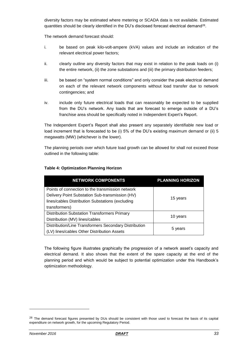diversity factors may be estimated where metering or SCADA data is not available. Estimated quantities should be clearly identified in the DU's disclosed forecast electrical demand<sup>28</sup> .

The network demand forecast should:

- i. be based on peak kilo-volt-ampere (kVA) values and include an indication of the relevant electrical power factors;
- ii. clearly outline any diversity factors that may exist in relation to the peak loads on (i) the entire network, (ii) the zone substations and (iii) the primary distribution feeders;
- iii. be based on "system normal conditions" and only consider the peak electrical demand on each of the relevant network components without load transfer due to network contingencies; and
- iv. include only future electrical loads that can reasonably be expected to be supplied from the DU's network. Any loads that are forecast to emerge outside of a DU's franchise area should be specifically noted in Independent Expert's Report.

The Independent Expert's Report shall also present any separately identifiable new load or load increment that is forecasted to be (i) 5% of the DU's existing maximum demand or (ii) 5 megawatts (MW) (whichever is the lower).

The planning periods over which future load growth can be allowed for shall not exceed those outlined in the following table:

| <b>NETWORK COMPONENTS</b>                             | <b>PLANNING HORIZON</b> |
|-------------------------------------------------------|-------------------------|
| Points of connection to the transmission network      |                         |
| Delivery Point Substation Sub-transmission (HV)       |                         |
| lines/cables Distribution Substations (excluding      | 15 years                |
| transformers)                                         |                         |
| <b>Distribution Substation Transformers Primary</b>   |                         |
| Distribution (MV) lines/cables                        | 10 years                |
| Distribution/Line Transformers Secondary Distribution |                         |
| (LV) lines/cables Other Distribution Assets           | 5 years                 |

### **Table 4: Optimization Planning Horizon**

The following figure illustrates graphically the progression of a network asset's capacity and electrical demand. It also shows that the extent of the spare capacity at the end of the planning period and which would be subject to potential optimization under this Handbook's optimization methodology.

<sup>&</sup>lt;sup>28</sup> The demand forecast figures presented by DUs should be consistent with those used to forecast the basis of its capital expenditure on network growth, for the upcoming Regulatory Period.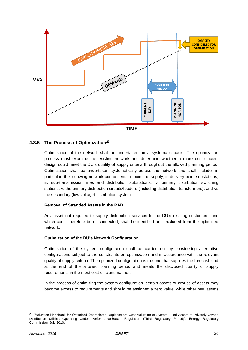

### <span id="page-33-0"></span>**4.3.5 The Process of Optimization<sup>29</sup>**

Optimization of the network shall be undertaken on a systematic basis. The optimization process must examine the existing network and determine whether a more cost-efficient design could meet the DU's quality of supply criteria throughout the allowed planning period. Optimization shall be undertaken systematically across the network and shall include, in particular, the following network components: i. points of supply; ii. delivery point substations; iii. sub-transmission lines and distribution substations; iv. primary distribution switching stations; v. the primary distribution circuits/feeders (including distribution transformers); and vi. the secondary (low voltage) distribution system.

### **Removal of Stranded Assets in the RAB**

Any asset not required to supply distribution services to the DU's existing customers, and which could therefore be disconnected, shall be identified and excluded from the optimized network.

### **Optimization of the DU's Network Configuration**

Optimization of the system configuration shall be carried out by considering alternative configurations subject to the constraints on optimization and in accordance with the relevant quality of supply criteria. The optimized configuration is the one that supplies the forecast load at the end of the allowed planning period and meets the disclosed quality of supply requirements in the most cost efficient manner.

In the process of optimizing the system configuration, certain assets or groups of assets may become excess to requirements and should be assigned a zero value, while other new assets

<sup>&</sup>lt;sup>29</sup> "Valuation Handbook for Optimized Depreciated Replacement Cost Valuation of System Fixed Assets of Privately Owned Distribution Utilities Operating Under Performance-Based Regulation (Third Regulatory Period)", Energy Regulatory Commission, July 2010.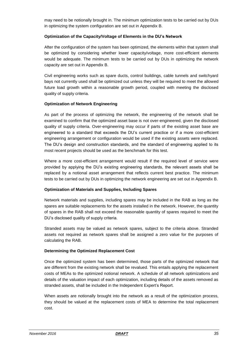may need to be notionally brought in. The minimum optimization tests to be carried out by DUs in optimizing the system configuration are set out in Appendix B.

### **Optimization of the Capacity/Voltage of Elements in the DU's Network**

After the configuration of the system has been optimized, the elements within that system shall be optimized by considering whether lower capacity/voltage, more cost-efficient elements would be adequate. The minimum tests to be carried out by DUs in optimizing the network capacity are set out in Appendix B.

Civil engineering works such as spare ducts, control buildings, cable tunnels and switchyard bays not currently used shall be optimized out unless they will be required to meet the allowed future load growth within a reasonable growth period, coupled with meeting the disclosed quality of supply criteria.

### **Optimization of Network Engineering**

As part of the process of optimizing the network, the engineering of the network shall be examined to confirm that the optimized asset base is not over-engineered, given the disclosed quality of supply criteria. Over-engineering may occur if parts of the existing asset base are engineered to a standard that exceeds the DU's current practice or if a more cost-efficient engineering arrangement or configuration would be used if the existing assets were replaced. The DU's design and construction standards, and the standard of engineering applied to its most recent projects should be used as the benchmark for this test.

Where a more cost-efficient arrangement would result if the required level of service were provided by applying the DU's existing engineering standards, the relevant assets shall be replaced by a notional asset arrangement that reflects current best practice. The minimum tests to be carried out by DUs in optimizing the network engineering are set out in Appendix B.

### **Optimization of Materials and Supplies, Including Spares**

Network materials and supplies, including spares may be included in the RAB as long as the spares are suitable replacements for the assets installed in the network. However, the quantity of spares in the RAB shall not exceed the reasonable quantity of spares required to meet the DU's disclosed quality of supply criteria.

Stranded assets may be valued as network spares, subject to the criteria above. Stranded assets not required as network spares shall be assigned a zero value for the purposes of calculating the RAB.

### **Determining the Optimized Replacement Cost**

Once the optimized system has been determined, those parts of the optimized network that are different from the existing network shall be revalued. This entails applying the replacement costs of MEAs to the optimized notional network. A schedule of all network optimizations and details of the valuation impact of each optimization, including details of the assets removed as stranded assets, shall be included in the Independent Expert's Report.

When assets are notionally brought into the network as a result of the optimization process, they should be valued at the replacement costs of MEA to determine the total replacement cost.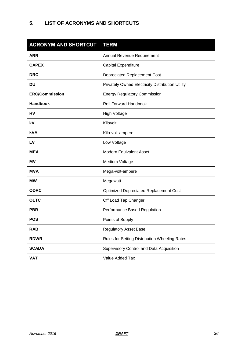<span id="page-35-0"></span>

| <b>ACRONYM AND SHORTCUT</b> | <b>TERM</b>                                      |
|-----------------------------|--------------------------------------------------|
| <b>ARR</b>                  | Annual Revenue Requirement                       |
| <b>CAPEX</b>                | Capital Expenditure                              |
| <b>DRC</b>                  | <b>Depreciated Replacement Cost</b>              |
| <b>DU</b>                   | Privately Owned Electricity Distribution Utility |
| <b>ERC/Commission</b>       | <b>Energy Regulatory Commission</b>              |
| <b>Handbook</b>             | <b>Roll Forward Handbook</b>                     |
| HV                          | <b>High Voltage</b>                              |
| kV                          | Kilovolt                                         |
| <b>kVA</b>                  | Kilo-volt-ampere                                 |
| LV                          | Low Voltage                                      |
| <b>MEA</b>                  | Modern Equivalent Asset                          |
| MV                          | Medium Voltage                                   |
| <b>MVA</b>                  | Mega-volt-ampere                                 |
| <b>MW</b>                   | Megawatt                                         |
| <b>ODRC</b>                 | <b>Optimized Depreciated Replacement Cost</b>    |
| <b>OLTC</b>                 | Off Load Tap Changer                             |
| <b>PBR</b>                  | Performance Based Regulation                     |
| <b>POS</b>                  | Points of Supply                                 |
| <b>RAB</b>                  | <b>Regulatory Asset Base</b>                     |
| <b>RDWR</b>                 | Rules for Setting Distribution Wheeling Rates    |
| <b>SCADA</b>                | Supervisory Control and Data Acquisition         |
| <b>VAT</b>                  | Value Added Tax                                  |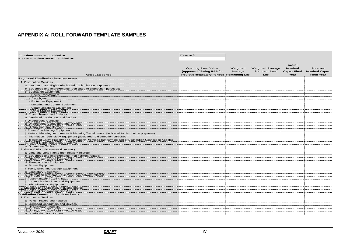### **APPENDIX A: ROLL FORWARD TEMPLATE SAMPLES**

<span id="page-36-0"></span>

| All values must be provided as                                                                           | Thousands                                                                              |                                              |                                                          |                                                        |                                                       |
|----------------------------------------------------------------------------------------------------------|----------------------------------------------------------------------------------------|----------------------------------------------|----------------------------------------------------------|--------------------------------------------------------|-------------------------------------------------------|
| Please complete areas identified as                                                                      |                                                                                        |                                              |                                                          |                                                        |                                                       |
| <b>Asset Categories</b>                                                                                  | <b>Opening Asset Value</b><br>(Approved Closing RAB for<br>previous Regulatory Period) | Weighted<br>Average<br><b>Remaining Life</b> | <b>Weighted Average</b><br><b>Standard Asset</b><br>Life | Actual<br><b>Nominal</b><br><b>Capex Final</b><br>Year | Forecast<br><b>Nominal Capex</b><br><b>Final Year</b> |
| <b>Regulated Distribution Services Assets</b>                                                            |                                                                                        |                                              |                                                          |                                                        |                                                       |
| 1. Distribution Services                                                                                 |                                                                                        |                                              |                                                          |                                                        |                                                       |
| a. Land and Land Rights (dedicated to distribution purposes)                                             |                                                                                        |                                              |                                                          |                                                        |                                                       |
| b. Structures and Improvements (dedicated to distribution purposes)                                      |                                                                                        |                                              |                                                          |                                                        |                                                       |
| c. Substation Equipment                                                                                  |                                                                                        |                                              |                                                          |                                                        |                                                       |
| - Power Transformers                                                                                     |                                                                                        |                                              |                                                          |                                                        |                                                       |
| - Switchgear                                                                                             |                                                                                        |                                              |                                                          |                                                        |                                                       |
| - Protective Equipment                                                                                   |                                                                                        |                                              |                                                          |                                                        |                                                       |
| - Metering and Control Equipment                                                                         |                                                                                        |                                              |                                                          |                                                        |                                                       |
| - Communications Equipment                                                                               |                                                                                        |                                              |                                                          |                                                        |                                                       |
| - Other Station Equipment                                                                                |                                                                                        |                                              |                                                          |                                                        |                                                       |
| d. Poles. Towers and Fixtures                                                                            |                                                                                        |                                              |                                                          |                                                        |                                                       |
| e. Overhead Conductors and Devices                                                                       |                                                                                        |                                              |                                                          |                                                        |                                                       |
| f. Underground Conduits                                                                                  |                                                                                        |                                              |                                                          |                                                        |                                                       |
| g. Underground Conductors and Devices                                                                    |                                                                                        |                                              |                                                          |                                                        |                                                       |
| h. Distribution Transformers                                                                             |                                                                                        |                                              |                                                          |                                                        |                                                       |
| i. Power Conditioning Equipment                                                                          |                                                                                        |                                              |                                                          |                                                        |                                                       |
| j. Meters, Metering Instruments & Metering Transformers (dedicated to distribution purposes)             |                                                                                        |                                              |                                                          |                                                        |                                                       |
| k. Information Technology Equipment (dedicated to distribution purposes)                                 |                                                                                        |                                              |                                                          |                                                        |                                                       |
| I. Regulated Entity Property on Consumers' Premises (not forming part of Distribution Connection Assets) |                                                                                        |                                              |                                                          |                                                        |                                                       |
| m. Street Lights and Signal Systems                                                                      |                                                                                        |                                              |                                                          |                                                        |                                                       |
| n. Submarine Cables                                                                                      |                                                                                        |                                              |                                                          |                                                        |                                                       |
| 2. General Plant (Non-network Assets)                                                                    |                                                                                        |                                              |                                                          |                                                        |                                                       |
| a. Land and Land Rights (non-network related)                                                            |                                                                                        |                                              |                                                          |                                                        |                                                       |
| b. Structures and Improvements (non-network related)                                                     |                                                                                        |                                              |                                                          |                                                        |                                                       |
| c. Office Furniture and Equipment                                                                        |                                                                                        |                                              |                                                          |                                                        |                                                       |
| d. Transportation Equipment                                                                              |                                                                                        |                                              |                                                          |                                                        |                                                       |
| e. Stores Equipment                                                                                      |                                                                                        |                                              |                                                          |                                                        |                                                       |
| f. Tools, Shop and Garage Equipment                                                                      |                                                                                        |                                              |                                                          |                                                        |                                                       |
| g. Laboratory Equipment                                                                                  |                                                                                        |                                              |                                                          |                                                        |                                                       |
| h. Information Systems Equipment (non-network related)                                                   |                                                                                        |                                              |                                                          |                                                        |                                                       |
| i. Power-operated Equipment                                                                              |                                                                                        |                                              |                                                          |                                                        |                                                       |
| j. Communication Plant and Equipment                                                                     |                                                                                        |                                              |                                                          |                                                        |                                                       |
| k. Miscellaneous Equipment                                                                               |                                                                                        |                                              |                                                          |                                                        |                                                       |
| 3. Materials and Supplines, including spares                                                             |                                                                                        |                                              |                                                          |                                                        |                                                       |
| 4. Transferred Sub-transmission Assets                                                                   |                                                                                        |                                              |                                                          |                                                        |                                                       |
| <b>Distribution Connection Services Assets</b>                                                           |                                                                                        |                                              |                                                          |                                                        |                                                       |
| 1. Distribution Services                                                                                 |                                                                                        |                                              |                                                          |                                                        |                                                       |
| a. Poles, Towers and Fixtures                                                                            |                                                                                        |                                              |                                                          |                                                        |                                                       |
| b. Overhead Conductors and Devices                                                                       |                                                                                        |                                              |                                                          |                                                        |                                                       |
| c. Underground Conduits                                                                                  |                                                                                        |                                              |                                                          |                                                        |                                                       |
| d. Underground Conductors and Devices                                                                    |                                                                                        |                                              |                                                          |                                                        |                                                       |
| e. Distribution Transformers                                                                             |                                                                                        |                                              |                                                          |                                                        |                                                       |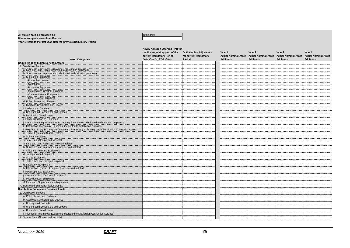#### **All values must be provided as** *Thousands*

#### **Please complete areas identified as**

**Year 1 refers to the first year after the previous Regulatory Period**

|                                                                                                          | Newly Adjusted Opening RAB for<br>the first regulatory year of the<br>current Regulatory Period | <b>Optimization Adjustment</b><br>for current Regulatory | Year 1           | Year 2<br>Actual Nominal Asset Actual Nominal Asset | Year <sub>3</sub><br><b>Actual Nominal Asset</b> | Year 4<br><b>Actual Nominal Asset</b> |
|----------------------------------------------------------------------------------------------------------|-------------------------------------------------------------------------------------------------|----------------------------------------------------------|------------------|-----------------------------------------------------|--------------------------------------------------|---------------------------------------|
| <b>Asset Categories</b>                                                                                  | (refer Opening RAB sheet)                                                                       | Period                                                   | <b>Additions</b> | <b>Additions</b>                                    | <b>Additions</b>                                 | <b>Additions</b>                      |
| <b>Regulated Distribution Services Assets</b>                                                            |                                                                                                 |                                                          |                  |                                                     |                                                  |                                       |
| 1. Distribution Services                                                                                 |                                                                                                 |                                                          |                  |                                                     |                                                  |                                       |
| a. Land and Land Rights (dedicated to distribution purposes)                                             |                                                                                                 |                                                          |                  |                                                     |                                                  |                                       |
| b. Structures and Improvements (dedicated to distribution purposes)                                      |                                                                                                 |                                                          |                  |                                                     |                                                  |                                       |
| c. Substation Equipment                                                                                  |                                                                                                 |                                                          |                  |                                                     |                                                  |                                       |
| - Power Transformers                                                                                     |                                                                                                 |                                                          |                  |                                                     |                                                  |                                       |
| - Switchgear                                                                                             |                                                                                                 |                                                          |                  |                                                     |                                                  |                                       |
| - Protective Equipment                                                                                   |                                                                                                 |                                                          |                  |                                                     |                                                  |                                       |
| - Metering and Control Equipment                                                                         |                                                                                                 |                                                          |                  |                                                     |                                                  |                                       |
| - Communications Equipment                                                                               |                                                                                                 |                                                          |                  |                                                     |                                                  |                                       |
| - Other Station Equipment                                                                                |                                                                                                 |                                                          |                  |                                                     |                                                  |                                       |
| d. Poles. Towers and Fixtures                                                                            |                                                                                                 |                                                          |                  |                                                     |                                                  |                                       |
| e. Overhead Conductors and Devices                                                                       |                                                                                                 |                                                          |                  |                                                     |                                                  |                                       |
| f. Underground Conduits                                                                                  |                                                                                                 |                                                          |                  |                                                     |                                                  |                                       |
| g. Underground Conductors and Devices                                                                    |                                                                                                 |                                                          |                  |                                                     |                                                  |                                       |
| h. Distribution Transformers                                                                             |                                                                                                 |                                                          |                  |                                                     |                                                  |                                       |
| i. Power Conditioning Equipment                                                                          |                                                                                                 |                                                          |                  |                                                     |                                                  |                                       |
| j. Meters, Metering Instruments & Metering Transformers (dedicated to distribution purposes)             |                                                                                                 |                                                          |                  |                                                     |                                                  |                                       |
| k. Information Technology Equipment (dedicated to distribution purposes)                                 |                                                                                                 |                                                          |                  |                                                     |                                                  |                                       |
| I. Regulated Entity Property on Consumers' Premises (not forming part of Distribution Connection Assets) |                                                                                                 |                                                          |                  |                                                     |                                                  |                                       |
| m. Street Lights and Signal Systems                                                                      |                                                                                                 |                                                          |                  |                                                     |                                                  |                                       |
| n. Submarine Cables                                                                                      |                                                                                                 |                                                          |                  |                                                     |                                                  |                                       |
| 2. General Plant (Non-network Assets)                                                                    |                                                                                                 |                                                          |                  |                                                     |                                                  |                                       |
| a. Land and Land Rights (non-network related)                                                            |                                                                                                 |                                                          |                  |                                                     |                                                  |                                       |
| b. Structures and Improvements (non-network related)                                                     |                                                                                                 |                                                          |                  |                                                     |                                                  |                                       |
| c. Office Furniture and Equipment                                                                        |                                                                                                 |                                                          |                  |                                                     |                                                  |                                       |
| d. Transportation Equipment                                                                              |                                                                                                 |                                                          |                  |                                                     |                                                  |                                       |
| e. Stores Equipment                                                                                      |                                                                                                 |                                                          |                  |                                                     |                                                  |                                       |
| f. Tools, Shop and Garage Equipment                                                                      |                                                                                                 |                                                          |                  |                                                     |                                                  |                                       |
| g. Laboratory Equipment                                                                                  |                                                                                                 |                                                          |                  |                                                     |                                                  |                                       |
| h. Information Systems Equipment (non-network related)                                                   |                                                                                                 |                                                          |                  |                                                     |                                                  |                                       |
| i. Power-operated Equipment                                                                              |                                                                                                 |                                                          |                  |                                                     |                                                  |                                       |
| j. Communication Plant and Equipment                                                                     |                                                                                                 |                                                          |                  |                                                     |                                                  |                                       |
| k. Miscellaneous Equipment                                                                               |                                                                                                 |                                                          |                  |                                                     |                                                  |                                       |
| 3. Materials and Supplines, including spares                                                             |                                                                                                 |                                                          |                  |                                                     |                                                  |                                       |
| 4. Transferred Sub-transmission Assets                                                                   |                                                                                                 |                                                          |                  |                                                     |                                                  |                                       |
| <b>Distribution Connection Services Assets</b>                                                           |                                                                                                 |                                                          |                  |                                                     |                                                  |                                       |
| 1. Distribution Services                                                                                 |                                                                                                 |                                                          |                  |                                                     |                                                  |                                       |
| a. Poles. Towers and Fixtures                                                                            |                                                                                                 |                                                          |                  |                                                     |                                                  |                                       |
| b. Overhead Conductors and Devices                                                                       |                                                                                                 |                                                          |                  |                                                     |                                                  |                                       |
| c. Underground Conduits                                                                                  |                                                                                                 |                                                          |                  |                                                     |                                                  |                                       |
| d. Underground Conductors and Devices                                                                    |                                                                                                 |                                                          |                  |                                                     |                                                  |                                       |
| e. Distribution Transformers                                                                             |                                                                                                 |                                                          |                  |                                                     |                                                  |                                       |
| f. Information Technology Equipment (dedicated to Distribution Connection Services)                      |                                                                                                 |                                                          |                  |                                                     |                                                  |                                       |
| 2. General Plant (Non-network Assets)                                                                    |                                                                                                 |                                                          |                  |                                                     |                                                  |                                       |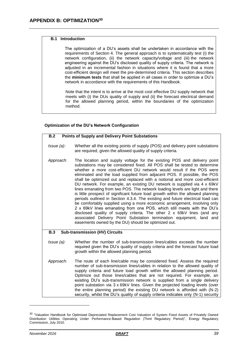### <span id="page-38-0"></span>**B.1 Introduction**

The optimization of a DU's assets shall be undertaken in accordance with the requirements of Section 4. The general approach is to systematically test (i) the network configuration, (ii) the network capacity/voltage and (iii) the network engineering against the DU's disclosed quality of supply criteria. The network is adjusted in an incremental fashion in situations where it is found that a more cost-efficient design will meet the pre-determined criteria. This section describes the **minimum tests** that shall be applied in all cases in order to optimize a DU's network in accordance with the requirements of this Handbook.

Note that the intent is to arrive at the most cost effective DU supply network that meets with (i) the DUs quality of supply and (ii) the forecast electrical demand for the allowed planning period, within the boundaries of the optimization method.

### **Optimization of the DU's Network Configuration**

| <b>Points of Supply and Delivery Point Substations</b><br>B.2 |                                                                                                                                                                                                                                                                                                                                                                                                                                                                                                                                                                                                                                                                                                                                                                                                                                                                                                                                                                                                                                                                                             |  |  |
|---------------------------------------------------------------|---------------------------------------------------------------------------------------------------------------------------------------------------------------------------------------------------------------------------------------------------------------------------------------------------------------------------------------------------------------------------------------------------------------------------------------------------------------------------------------------------------------------------------------------------------------------------------------------------------------------------------------------------------------------------------------------------------------------------------------------------------------------------------------------------------------------------------------------------------------------------------------------------------------------------------------------------------------------------------------------------------------------------------------------------------------------------------------------|--|--|
| $I$ ssue $(a)$ :                                              | Whether all the existing points of supply (POS) and delivery point substations<br>are required, given the allowed quality of supply criteria.                                                                                                                                                                                                                                                                                                                                                                                                                                                                                                                                                                                                                                                                                                                                                                                                                                                                                                                                               |  |  |
| Approach:                                                     | The location and supply voltage for the existing POS and delivery point<br>substations may be considered fixed. All POS shall be tested to determine<br>whether a more cost-efficient DU network would result if the POS were<br>eliminated and the load supplied from adjacent POS. If possible, the POS<br>shall be optimized out and replaced with a notional and more cost-efficient<br>DU network. For example, an existing DU network is supplied via 4 x 69kV<br>lines emanating from two POS. The network loading levels are light and there<br>is little prospect of significant future load growth within the allowed planning<br>periods outlined in Section 4.3.4. The existing and future electrical load can<br>be comfortably supplied using a more economic arrangement, involving only<br>2 x 69kV lines emanating from one POS, which still meets with the DU's<br>disclosed quality of supply criteria. The other 2 x 69kV lines (and any<br>associated Delivery Point Substation termination equipment, land and<br>easements owned by the DU) should be optimized out. |  |  |
| <b>B.3</b><br><b>Sub-transmission (HV) Circuits</b>           |                                                                                                                                                                                                                                                                                                                                                                                                                                                                                                                                                                                                                                                                                                                                                                                                                                                                                                                                                                                                                                                                                             |  |  |
| $I$ ssue $(a)$ :                                              | Whether the number of sub-transmission lines/cables exceeds the number<br>required given the DU's quality of supply criteria and the forecast future load<br>growth within the allowed planning period.                                                                                                                                                                                                                                                                                                                                                                                                                                                                                                                                                                                                                                                                                                                                                                                                                                                                                     |  |  |
| Approach:                                                     | The route of each line/cable may be considered fixed. Assess the required<br>number of sub-transmission lines/cables in relation to the allowed quality of<br>supply criteria and future load growth within the allowed planning period.<br>Optimize out those lines/cables that are not required. For example, an<br>existing DU's sub-transmission network is supplied from a single delivery<br>point substation via 3 x 69kV lines. Given the projected loading levels (over<br>the entire planning period) the existing DU network is afforded with (N-2)                                                                                                                                                                                                                                                                                                                                                                                                                                                                                                                              |  |  |

security, whilst the DU's quality of supply criteria indicates only (N-1) security

<sup>&</sup>lt;sup>30</sup> "Valuation Handbook for Optimized Depreciated Replacement Cost Valuation of System Fixed Assets of Privately Owned Distribution Utilities Operating Under Performance-Based Regulation (Third Regulatory Period)", Energy Regulatory Commission, July 2010.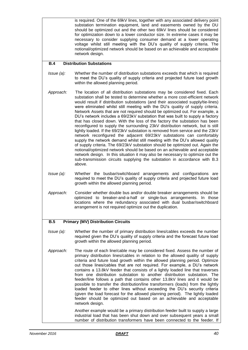is required. One of the 69kV lines, together with any associated delivery point substation termination equipment, land and easements owned by the DU should be optimized out and the other two 69kV lines should be considered for optimization down to a lower conductor size. In extreme cases it may be necessary to consider supplying consumer demand at a lower operating voltage whilst still meeting with the DU's quality of supply criteria. The notional/optimized network should be based on an achievable and acceptable network design.

#### **B.4 Distribution Substations**

- *Issue (a):* Whether the number of distribution substations exceeds that which is required to meet the DU's quality of supply criteria and projected future load growth within the allowed planning period.
- *Approach:* The location of all distribution substations may be considered fixed. Each substation shall be tested to determine whether a more cost-efficient network would result if distribution substations (and their associated supply/tie-lines) were eliminated whilst still meeting with the DU's quality of supply criteria. Network Assets that are not required should be optimized out. For example, a DU's network includes a 69/23kV substation that was built to supply a factory that has closed down. With the loss of the factory the substation has been reconfigured to supply the surrounding 23kV distribution network, but is still lightly loaded. If the 69/23kV substation is removed from service and the 23kV network reconfigured the adjacent 69/23kV substations can comfortably supply the network demand whilst still meeting with the DU's allowed quality of supply criteria. The 69/23kV substation should be optimized out. Again the notional/optimized network should be based on an achievable and acceptable network design. In this situation it may also be necessary to optimize out the sub-transmission circuits supplying the substation in accordance with B.3 above.
- *Issue (a):* Whether the busbar/switchboard arrangements and configurations are required to meet the DU's quality of supply criteria and projected future load growth within the allowed planning period.
- *Approach:* Consider whether double bus and/or double breaker arrangements should be optimized to breaker-and-a-half or single-bus arrangements. In those locations where the redundancy associated with dual busbar/switchboard arrangement is not required optimize out the duplication.

### **B.5 Primary (MV) Distribution Circuits**

- *Issue (a):* Whether the number of primary distribution lines/cables exceeds the number required given the DU's quality of supply criteria and the forecast future load growth within the allowed planning period.
- *Approach:* The route of each line/cable may be considered fixed. Assess the number of primary distribution lines/cables in relation to the allowed quality of supply criteria and future load growth within the allowed planning period. Optimize out those lines/cables that are not required. For example, a DU's network contains a 13.8kV feeder that consists of a lightly loaded line that traverses from one distribution substation to another distribution substation. The feeder/line follows a path that contains other 13.8kV lines and it would be possible to transfer the distribution/line transformers (loads) from the lightly loaded feeder to other lines without exceeding the DU's security criteria (given the load forecast for the allowed planning period). The lightly loaded feeder should be optimized out based on an achievable and acceptable network design.

Another example would be a primary distribution feeder built to supply a large industrial load that has been shut down and over subsequent years a small number of distribution transformers have been connected to the feeder. If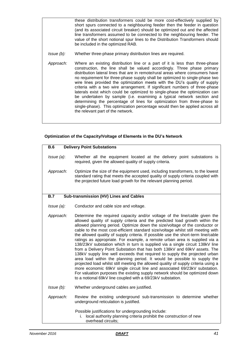these distribution transformers could be more cost-effectively supplied by short spurs connected to a neighbouring feeder then the feeder in question (and its associated circuit breaker) should be optimized out and the affected line transformers assumed to be connected to the neighbouring feeder. The value of the short notional spur lines to the Distribution Transformers should be included in the optimized RAB.

- *Issue (b):* Whether three-phase primary distribution lines are required.
- *Approach:* Where an existing distribution line or a part of it is less than three-phase construction, the line shall be valued accordingly. Three phase primary distribution lateral lines that are in remote/rural areas where consumers have no requirement for three-phase supply shall be optimized to single-phase two wire lines provided the optimization meets with the DU's quality of supply criteria with a two wire arrangement. If significant numbers of three-phase laterals exist which could be optimized to single-phase the optimization can be undertaken by sample (i.e. examining a typical network section and determining the percentage of lines for optimization from three-phase to single-phase). This optimization percentage would then be applied across all the relevant part of the network.

### **Optimization of the Capacity/Voltage of Elements in the DU's Network**

| <b>B.6</b>       | <b>Delivery Point Substations</b>                                                                                                                                                                                                                                                                                                                                                                                                                                                                                                                                                                                                                                                                                                                                                                                                                                                                                                                                                                                                                                                                                                       |
|------------------|-----------------------------------------------------------------------------------------------------------------------------------------------------------------------------------------------------------------------------------------------------------------------------------------------------------------------------------------------------------------------------------------------------------------------------------------------------------------------------------------------------------------------------------------------------------------------------------------------------------------------------------------------------------------------------------------------------------------------------------------------------------------------------------------------------------------------------------------------------------------------------------------------------------------------------------------------------------------------------------------------------------------------------------------------------------------------------------------------------------------------------------------|
| $l$ ssue $(a)$ : | Whether all the equipment located at the delivery point substations is<br>required, given the allowed quality of supply criteria.                                                                                                                                                                                                                                                                                                                                                                                                                                                                                                                                                                                                                                                                                                                                                                                                                                                                                                                                                                                                       |
| Approach:        | Optimize the size of the equipment used, including transformers, to the lowest<br>standard rating that meets the accepted quality of supply criteria coupled with<br>the projected future load growth for the relevant planning period.                                                                                                                                                                                                                                                                                                                                                                                                                                                                                                                                                                                                                                                                                                                                                                                                                                                                                                 |
| <b>B.7</b>       | Sub-transmission (HV) Lines and Cables                                                                                                                                                                                                                                                                                                                                                                                                                                                                                                                                                                                                                                                                                                                                                                                                                                                                                                                                                                                                                                                                                                  |
| Issue (a):       | Conductor and cable size and voltage.                                                                                                                                                                                                                                                                                                                                                                                                                                                                                                                                                                                                                                                                                                                                                                                                                                                                                                                                                                                                                                                                                                   |
| Approach:        | Determine the required capacity and/or voltage of the line/cable given the<br>allowed quality of supply criteria and the predicted load growth within the<br>allowed planning period. Optimize down the size/voltage of the conductor or<br>cable to the most cost-efficient standard size/voltage whilst still meeting with<br>the allowed quality of supply criteria. If possible use the short-term line/cable<br>ratings as appropriate. For example, a remote urban area is supplied via a<br>138/23kV substation which in turn is supplied via a single circuit 138kV line<br>from a Delivery Point Substation that has both 138kV and 69kV assets. The<br>138kV supply line well exceeds that required to supply the projected urban<br>area load within the planning period. It would be possible to supply the<br>projected load whilst still meeting the allowed quality of supply criteria using a<br>more economic 69kV single circuit line and associated 69/23kV substation.<br>For valuation purposes the existing supply network should be optimized down<br>to a notional 69kV line coupled with a 69/23kV substation. |
| Issue (b):       | Whether underground cables are justified.                                                                                                                                                                                                                                                                                                                                                                                                                                                                                                                                                                                                                                                                                                                                                                                                                                                                                                                                                                                                                                                                                               |
| Approach:        | Review the existing underground sub-transmission to determine whether<br>underground reticulation is justified.                                                                                                                                                                                                                                                                                                                                                                                                                                                                                                                                                                                                                                                                                                                                                                                                                                                                                                                                                                                                                         |
|                  | Possible justifications for undergrounding include:<br>i. local authority planning criteria prohibit the construction of new<br>overhead circuits;                                                                                                                                                                                                                                                                                                                                                                                                                                                                                                                                                                                                                                                                                                                                                                                                                                                                                                                                                                                      |
|                  |                                                                                                                                                                                                                                                                                                                                                                                                                                                                                                                                                                                                                                                                                                                                                                                                                                                                                                                                                                                                                                                                                                                                         |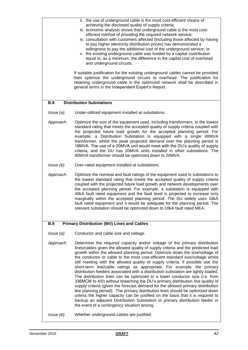|                  | ii. the use of underground cable is the most cost-efficient means of<br>achieving the disclosed quality of supply criteria;<br>iii. economic analysis shows that underground cable is the most cost-<br>efficient method of providing the required network service;<br>iv. consultation with customers affected (including those affected by having<br>to pay higher electricity distribution prices) has demonstrated a<br>willingness to pay the additional cost of the underground service; or<br>v. the existing underground cable was funded by a capital contribution<br>equal to, as a minimum, the difference in the capital cost of overhead<br>and underground circuits.<br>If suitable justification for the existing underground cables cannot be provided<br>then optimize the underground circuits to overhead. The justification for<br>retaining underground cable in the optimized network shall be described in<br>general terms in the Independent Expert's Report.                                                                          |
|------------------|-----------------------------------------------------------------------------------------------------------------------------------------------------------------------------------------------------------------------------------------------------------------------------------------------------------------------------------------------------------------------------------------------------------------------------------------------------------------------------------------------------------------------------------------------------------------------------------------------------------------------------------------------------------------------------------------------------------------------------------------------------------------------------------------------------------------------------------------------------------------------------------------------------------------------------------------------------------------------------------------------------------------------------------------------------------------|
| <b>B.8</b>       | <b>Distribution Substations</b>                                                                                                                                                                                                                                                                                                                                                                                                                                                                                                                                                                                                                                                                                                                                                                                                                                                                                                                                                                                                                                 |
| $l$ ssue $(a)$ : | Under-utilized equipment installed at substations.                                                                                                                                                                                                                                                                                                                                                                                                                                                                                                                                                                                                                                                                                                                                                                                                                                                                                                                                                                                                              |
| Approach:        | Optimize the size of the equipment used, including transformers, to the lowest<br>standard rating that meets the accepted quality of supply criteria coupled with<br>the projected future load growth for the accepted planning period. For<br>example, a Distribution Substation is equipped with a single 40MVA<br>transformer, whilst the peak projected demand over the planning period is<br>18MVA. The use of a 20MVA unit would meet with the DU's quality of supply<br>criteria, and the DU has 20MVA units installed in other substations. The<br>40MVA transformer should be optimized down to 20MVA.                                                                                                                                                                                                                                                                                                                                                                                                                                                 |
| $l$ ssue $(b)$ : | Over-rated equipment installed at substations.                                                                                                                                                                                                                                                                                                                                                                                                                                                                                                                                                                                                                                                                                                                                                                                                                                                                                                                                                                                                                  |
| Approach:        | Optimize the nominal and fault ratings of the equipment used in substations to<br>the lowest standard rating that meets the accepted quality of supply criteria<br>coupled with the projected future load growth and network developments over<br>the accepted planning period. For example, a substation is equipped with<br>40kA fault rated equipment and the fault level is projected to increase only<br>marginally within the accepted planning period. The DU widely uses 18kA<br>fault rated equipment and it would be adequate for the planning period. The<br>relevant substation should be optimized down to 18kA fault rated MEA.                                                                                                                                                                                                                                                                                                                                                                                                                   |
| <b>B.9</b>       | <b>Primary Distribution (MV) Lines and Cables</b>                                                                                                                                                                                                                                                                                                                                                                                                                                                                                                                                                                                                                                                                                                                                                                                                                                                                                                                                                                                                               |
| $I$ ssue $(a)$ : | Conductor and cable size and voltage.                                                                                                                                                                                                                                                                                                                                                                                                                                                                                                                                                                                                                                                                                                                                                                                                                                                                                                                                                                                                                           |
| Approach:        | Determine the required capacity and/or voltage of the primary distribution                                                                                                                                                                                                                                                                                                                                                                                                                                                                                                                                                                                                                                                                                                                                                                                                                                                                                                                                                                                      |
|                  | lines/cables given the allowed quality of supply criteria and the predicted load<br>growth within the allowed planning period. Optimize down the size/voltage of<br>the conductor or cable to the most cost-efficient standard size/voltage whilst<br>still meeting with the allowed quality of supply criteria. If possible use the<br>short-term line/cable ratings as appropriate. For example, the primary<br>distribution feeders associated with a distribution substation are lightly loaded.<br>The distribution lines can be optimized to a lower conductor size (i.e. from<br>336MCM to 4/0) without breaching the DU's primary distribution line quality of<br>supply criteria (given the forecast demand for the allowed primary distribution<br>line planning period). The primary distribution lines should be optimized down<br>unless the higher capacity can be justified on the basis that it is required to<br>backup an adjacent Distribution Substation or primary distribution feeder in<br>the event of a contingency situation arising. |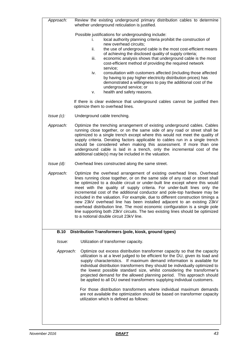| Approach:        | Review the existing underground primary distribution cables to determine<br>whether underground reticulation is justified.                                                                                                                                                                                                                                                                                                                                                                                                                                                                                                                                                                                                                                                                                                                                      |
|------------------|-----------------------------------------------------------------------------------------------------------------------------------------------------------------------------------------------------------------------------------------------------------------------------------------------------------------------------------------------------------------------------------------------------------------------------------------------------------------------------------------------------------------------------------------------------------------------------------------------------------------------------------------------------------------------------------------------------------------------------------------------------------------------------------------------------------------------------------------------------------------|
| $I$ ssue $(c)$ : | Possible justifications for undergrounding include:<br>local authority planning criteria prohibit the construction of<br>İ.<br>new overhead circuits;<br>ii.<br>the use of underground cable is the most cost-efficient means<br>of achieving the disclosed quality of supply criteria;<br>iii.<br>economic analysis shows that underground cable is the most<br>cost-efficient method of providing the required network<br>service;<br>consultation with customers affected (including those affected<br>iv.<br>by having to pay higher electricity distribution prices) has<br>demonstrated a willingness to pay the additional cost of the<br>underground service; or<br>health and safety reasons.<br>v.<br>If there is clear evidence that underground cables cannot be justified then<br>optimize them to overhead lines.<br>Underground cable trenching. |
| Approach:        | Optimize the trenching arrangement of existing underground cables. Cables<br>running close together, or on the same side of any road or street shall be<br>optimized to a single trench except where this would not meet the quality of<br>supply criteria. Derating factors applicable to cables run in a single trench<br>should be considered when making this assessment. If more than one<br>underground cable is laid in a trench, only the incremental cost of the<br>additional cable(s) may be included in the valuation.                                                                                                                                                                                                                                                                                                                              |
| $l$ ssue $(d)$ : | Overhead lines constructed along the same street.                                                                                                                                                                                                                                                                                                                                                                                                                                                                                                                                                                                                                                                                                                                                                                                                               |
| Approach:        | Optimize the overhead arrangement of existing overhead lines. Overhead<br>lines running close together, or on the same side of any road or street shall<br>be optimized to a double circuit or under-built line except where this would<br>meet with the quality of supply criteria. For under-built lines only the<br>incremental cost of the additional conductor and pole-top hardware may be<br>included in the valuation. For example, due to different construction timings a<br>new 23kV overhead line has been installed adjacent to an existing 23kV<br>overhead distribution line. The most economic configuration is a single pole<br>line supporting both 23kV circuits. The two existing lines should be optimized<br>to a notional double circuit 23kV line.                                                                                      |
| <b>B.10</b>      | Distribution Transformers (pole, kiosk, ground types)                                                                                                                                                                                                                                                                                                                                                                                                                                                                                                                                                                                                                                                                                                                                                                                                           |
| Issue:           | Utilization of transformer capacity.                                                                                                                                                                                                                                                                                                                                                                                                                                                                                                                                                                                                                                                                                                                                                                                                                            |
| Approach:        | Optimize out excess distribution transformer capacity so that the capacity<br>utilization is at a level judged to be efficient for the DU, given its load and<br>supply characteristics. If maximum demand information is available for<br>individual distribution transformers they should be individually optimized to<br>the lowest possible standard size, whilst considering the transformer's<br>projected demand for the allowed planning period. This approach should<br>be applied to all DU owned transformers supplying individual customers.<br>For those distribution transformers where individual maximum demands<br>are not available the optimization should be based on transformer capacity<br>utilization which is defined as follows:                                                                                                      |
|                  |                                                                                                                                                                                                                                                                                                                                                                                                                                                                                                                                                                                                                                                                                                                                                                                                                                                                 |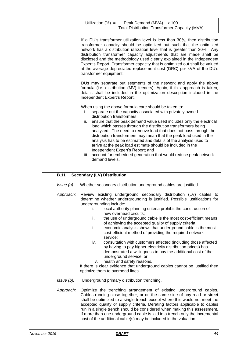|                  | Utilization $(\%) =$<br>Peak Demand (MVA) x 100<br><b>Total Distribution Transformer Capacity (MVA)</b>                                                                                                                                                                                                                                                                                                                                                                                                                                                                                                                                                                                                       |
|------------------|---------------------------------------------------------------------------------------------------------------------------------------------------------------------------------------------------------------------------------------------------------------------------------------------------------------------------------------------------------------------------------------------------------------------------------------------------------------------------------------------------------------------------------------------------------------------------------------------------------------------------------------------------------------------------------------------------------------|
|                  | If a DU's transformer utilization level is less than 30%, then distribution<br>transformer capacity should be optimized out such that the optimized<br>network has a distribution utilization level that is greater than 30%. Any<br>distribution transformer capacity adjustments that are made shall be<br>disclosed and the methodology used clearly explained in the Independent<br>Expert's Report. Transformer capacity that is optimized out shall be valued<br>at the average depreciated replacement cost (DRC) per kVA of the DU's<br>transformer equipment.                                                                                                                                        |
|                  | DUs may separate out segments of the network and apply the above<br>formula (i.e. distribution (MV) feeders). Again, if this approach is taken,<br>details shall be included in the optimization description included in the<br>Independent Expert's Report.                                                                                                                                                                                                                                                                                                                                                                                                                                                  |
|                  | When using the above formula care should be taken to:<br>separate out the capacity associated with privately owned<br>i.<br>distribution transformers;<br>ensure that the peak demand value used includes only the electrical<br>ii.<br>load which passes through the distribution transformers being<br>analyzed. The need to remove load that does not pass through the<br>distribution transformers may mean that the peak load used in the<br>analysis has to be estimated and details of the analysis used to<br>arrive at the peak load estimate should be included in the<br>Independent Expert's Report; and<br>iii. account for embedded generation that would reduce peak network<br>demand levels. |
| <b>B.11</b>      | <b>Secondary (LV) Distribution</b>                                                                                                                                                                                                                                                                                                                                                                                                                                                                                                                                                                                                                                                                            |
| $I$ ssue $(a)$ : | Whether secondary distribution underground cables are justified.                                                                                                                                                                                                                                                                                                                                                                                                                                                                                                                                                                                                                                              |
| Approach:        | Review existing underground secondary distribution (LV) cables to<br>determine whether undergrounding is justified. Possible justifications for<br>undergrounding include:<br>local authority planning criteria prohibit the construction of<br>L.<br>new overhead circuits;<br>ii.<br>the use of underground cable is the most cost-efficient means<br>of achieving the accepted quality of supply criteria;<br>iii.<br>economic analysis shows that underground cable is the most<br>cost-efficient method of providing the required network<br>service;<br>consultation with customers affected (including those affected<br>iv.                                                                           |
|                  | by having to pay higher electricity distribution prices) has<br>demonstrated a willingness to pay the additional cost of the<br>underground service; or<br>health and safety reasons.<br>v.<br>If there is clear evidence that underground cables cannot be justified then<br>optimize them to overhead lines.                                                                                                                                                                                                                                                                                                                                                                                                |
| $l$ ssue $(b)$ : | Underground primary distribution trenching.                                                                                                                                                                                                                                                                                                                                                                                                                                                                                                                                                                                                                                                                   |
| Approach:        | Optimize the trenching arrangement of existing underground cables.<br>Cables running close together, or on the same side of any road or street<br>shall be optimized to a single trench except where this would not meet the<br>accepted quality of supply criteria. Derating factors applicable to cables<br>run in a single trench should be considered when making this assessment.<br>If more than one underground cable is laid in a trench only the incremental<br>cost of the additional cable(s) may be included in the valuation.                                                                                                                                                                    |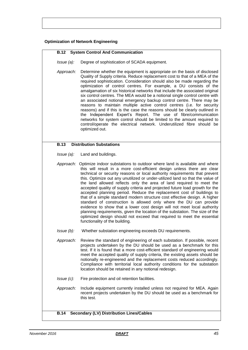### **Optimization of Network Engineering**

#### **B.12 System Control And Communication**

- *Issue (a):* Degree of sophistication of SCADA equipment.
- *Approach:* Determine whether the equipment is appropriate on the basis of disclosed Quality of Supply criteria. Reduce replacement cost to that of a MEA of the required sophistication. Consideration should also be made regarding the optimization of control centres. For example, a DU consists of the amalgamation of six historical networks that include the associated original six control centres. The MEA would be a notional single control centre with an associated notional emergency backup control centre. There may be reasons to maintain multiple active control centres (i.e. for security reasons) and if this is the case the reasons should be clearly outlined in the Independent Expert's Report. The use of fibre/communication networks for system control should be limited to the amount required to control/operate the electrical network. Underutilized fibre should be optimized out.

### **B.13 Distribution Substations**

*Issue (a):* Land and buildings.

- *Approach:* Optimize indoor substations to outdoor where land is available and where this will result in a more cost-efficient design unless there are clear technical or security reasons or local authority requirements that prevent this. Optimize out any unutilized or under-utilized land so that the value of the land allowed reflects only the area of land required to meet the accepted quality of supply criteria and projected future load growth for the accepted planning period. Reduce the replacement cost of buildings to that of a simple standard modern structure cost effective design. A higher standard of construction is allowed only where the DU can provide evidence to show that a lower cost design will not meet local authority planning requirements, given the location of the substation. The size of the optimized design should not exceed that required to meet the essential functionality of the building.
- *Issue (b):* Whether substation engineering exceeds DU requirements.
- *Approach:* Review the standard of engineering of each substation. If possible, recent projects undertaken by the DU should be used as a benchmark for this test. If it is found that a more cost-efficient standard of engineering would meet the accepted quality of supply criteria, the existing assets should be notionally re-engineered and the replacement costs reduced accordingly. Compliance with territorial local authority conditions for the substation location should be retained in any notional redesign.
- *Issue (c):* Fire protection and oil retention facilities.
- *Approach:* Include equipment currently installed unless not required for MEA. Again recent projects undertaken by the DU should be used as a benchmark for this test.

#### **B.14 Secondary (LV) Distribution Lines/Cables**